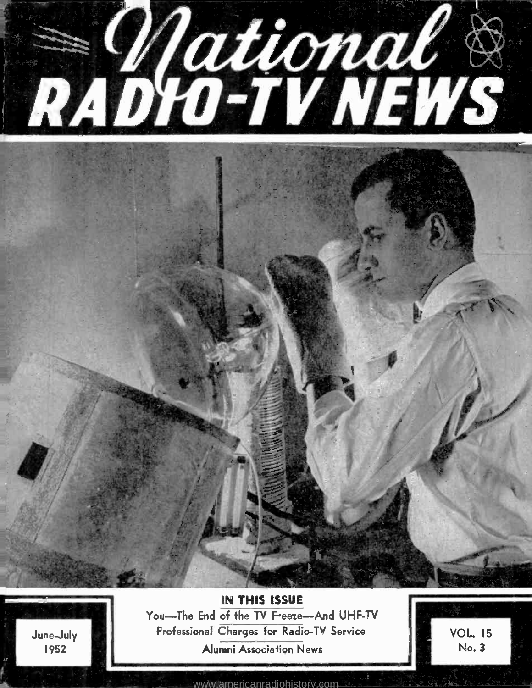

June -July 1952

IN THIS ISSUE You-The End of the TV Freeze-And UHF-TV Professional Charges for Radio -TV Service Alumni Association News

VOL <sup>15</sup> No. 3

<www.americanradiohistory.com>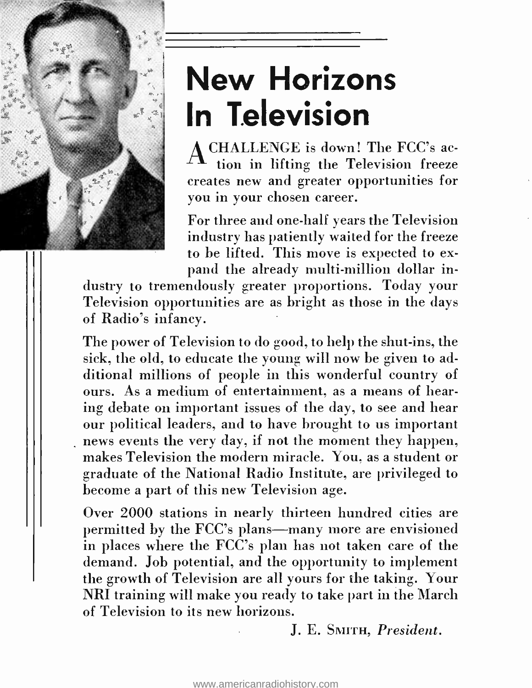

# New Horizons In Television

A CHALLENGE is down! The FCC's action in lifting the Television freeze creates new and greater opportunities for you in your chosen career.

For three and one -half years the Television industry has patiently waited for the freeze to be lifted. This move is expected to expand the already multi-million dollar in-

dustry to tremendously greater proportions. Today your Television opportunities are as bright as those in the days of Radio's infancy.

The power of Television to do good, to help the shut-ins, the sick, the old, to educate the young will now be given to additional millions of people in this wonderful country of ours. As a medium of entertainment, as a means of hearing debate on important issues of the day, to see and hear our political leaders, and to have brought to us important news events the very day, if not the moment they happen, makes Television the modern miracle. You, as a student or graduate of the National Radio Institute, are privileged to become a part of this new Television age.

Over 2000 stations in nearly thirteen hundred cities are permitted by the FCC's plans—many more are envisioned in places where the FCC's plan has not taken care of the demand. Job potential, and the opportunity to implement the growth of Television are all yours for the taking. Your NRI training will make you ready to take part in the March of Television to its new horizons.

J. E. SMITH, President.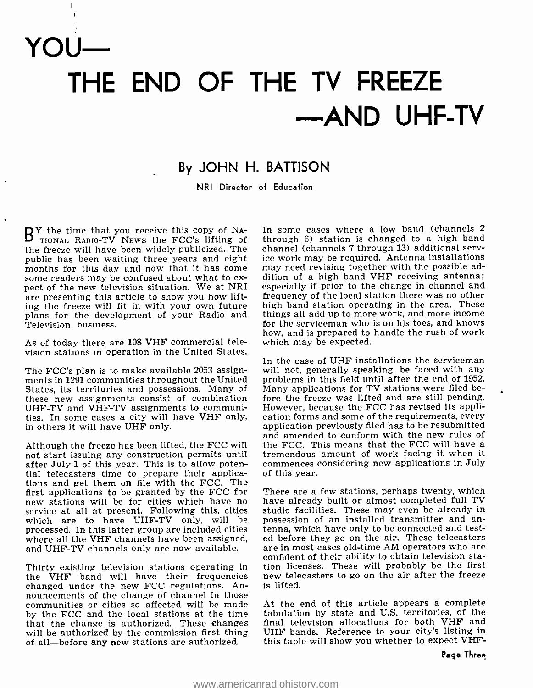YOU

# THE END OF THE TV FREEZE -AND UHF-TV

## By JOHN H. BATTISON

NRI Director of Education

**By** the time that you receive this copy of NA-<br>TIONAL RADIO-TV NEWS the FCC's lifting of the the freeze will have been widely publicized. The channel (channels 7 through 13) additional servpublic has been waiting three years and eight some readers may be confused about what to ex-<br>pect of the new television situation. We at NRI are presenting this article to show you how lifting the freeze will fit in with your own future plans for the development of your Radio and Television business.

As of today there are 108 VHF commercial television stations in operation in the United States.

The FCC's plan is to make available 2053 assignments in 1291 communities throughout the United States, its territories and possessions. Many of these new assignments consist of combination UHF -TV and VHF -TV assignments to communities. In some cases a city will have VHF only, in others it will have UHF only.

not start issuing any construction permits until tremendous amount of work facing it when it<br>after July 1 of this year. This is to allow poten- commences considering new applications in July after July 1 of this year. This is to allow potential telecasters time to prepare their applications and get them on file with the FCC. The<br>first applications to be granted by the FCC for first applications will be for cities which have no have already built or almost completed full TV service at all at present. Following this, cities studio facilities. These may even be already in which are to have UHF-TV which are to have UHF-TV only, will be processed. In this latter group are included cities where all the VHF channels have been assigned, and UHF-TV channels only are now available.

changed under the new FCC regulations. Announcements of the change of channel in those communities or cities so affected will be made by the FCC and the local stations at the time that the change is authorized. These changes will be authorized by the commission first thing of all- before any new stations are authorized.

In some cases where a low band (channels 2 through 6) station is changed to a high band ice work may be required. Antenna installations may need revising together with the possible addition of a high band VHF receiving antenna; especially if prior to the change in channel and frequency of the local station there was no other high band station operating in the area. These things all add up to more work, and more income for the serviceman who is on his toes, and knows how, and is prepared to handle the rush of work which may be expected.

Although the freeze has been lifted, the FCC will the FCC. This means that the FCC will have a<br>not start issuing any construction permits until tremendous amount of work facing it when it In the case of UHF installations the serviceman will not, generally speaking, be faced with any problems in this field until after the end of 1952. Many applications for TV stations were filed before the freeze was lifted and are still pending. However, because the FCC has revised its application forms and some of the requirements, every application previously filed has to be resubmitted and amended to conform with the new rules of the FCC. This means that the FCC will have a of this year.

Thirty existing television stations operating in stion licenses. These will probably be the first<br>the VHF band will have their frequencies snew telecasters to go on the air after the freeze There are a few stations, perhaps twenty, which have already built or almost completed full TV studio facilities. These may even be already in tenna, which have only to be connected and tested before they go on the air. These telecasters are in most cases old -time AM operators who are confident of their ability to obtain television station licenses. These will probably be the first is lifted.

> At the end of this article appears a complete tabulation by state and U.S. territories, of the final television allocations for both VHF and UHF bands. Reference to your city's listing in this table will show you whether to expect VHF -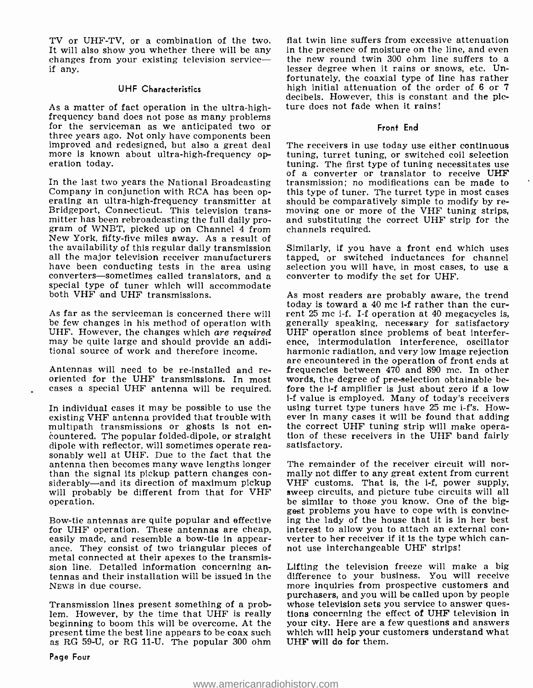TV or UHF-TV, or a combination of the two. It will also show you whether there will be any in the presence of moisture on the line, and even<br>changes from your existing television service— the new round twin 300 ohm line suffers to a<br>if any. if any.

#### UHF Characteristics

As a matter of fact operation in the ultra-high-<br>frequency band does not pose as many problems<br>for the serviceman as we anticipated two or<br>three years ago. Not only have components been improved and redesigned, but also a great deal more is known about ultra-high-frequency operation today.

In the last two years the National Broadcasting transmission; no modifications can be made to Company in conjunction with RCA has been op- this type of tuner. The turret type in most cases erating an ultra-high-frequency t Bridgeport, Connecticut. This television transmitter has been rebroadcasting the full daily promitter has been rebroadcasting the full daily pro-<br>gram of WNBT, picked up on Channel 4 from channels required. New York, fifty-five miles away. As a result of<br>the availability of this regular daily transmission Similarly, if you have a front end which uses the availability of this regular daily transmission all the major television receiver manufacturers<br>have been conducting tests in the area using converters—sometimes called translators, and  $\overline{a}$  converter to modify the set for UHF. special type of tuner which will accommodate both VHF and UHF transmissions.

As far as the serviceman is concerned there will be few changes in his method of operation with generally speaking, necessary for satisfactory<br>UHF. However, the changes which *are required* UHF operation since problems of beat interfer-UHF. However, the changes which are required may be quite large and should provide an additional source of work and therefore income.

Antennas will need to be re-installed and re-<br>oriented for the UHF transmissions. In most<br>cases a special UHF antenna will be required.

In individual cases it may be possible to use the using turret type tuners have  $25$  mc i-f's. However it may cases it will be found that adding existing VHF antenna provided that trouble with<br>multipath transmissions or ghosts is not encountered. The popular folded-dipole, or straight tion of these receivers in the UHF band fairly dipole with reflector, will sometimes operate rea-<br>satisfactory. dipole with reflector, will sometimes operate reasonably well at UHF. Due to the fact that the<br>antenna then becomes many wave lengths longer The remainder of the receiver circuit will northan the signal its pickup pattern changes considerably—and its direction of maximum pickup will probably be different from that for VHF operation.

Bow-tie antennas are quite popular and effective ing the lady of the house that it is in her best for UHF operation. These antennas are cheap, interest to allow you to attach an external confor UHF operation. These antennas are cheap, easily made, and resemble a bow-tie in appear- verter to her receiver if it is the type v<br>ance. They consist of two triangular pieces of not use interchangeable UHF strips! metal connected at their apexes to the transmission line. Detailed information concerning an- Lifting the television freeze will make a big<br>tennas and their installation will be issued in the difference to your business. You will receive NEWS in due course.

Transmission lines present something of a problem. However, by the time that UHF is really tions concerning the effect of UHF television in beginning to boom this will be overcome. At the your city. Here are a few questions and answers present time the best line appea as RG 59-U, or RG 11-U. The popular 300 ohm

flat twin line suffers from excessive attenuation in the presence of moisture on the line, and even fortunately, the coaxial type of line has rather high initial attenuation of the order of 6 or 7 decibels. However, this is constant and the picture does not fade when it rains!

#### Front End

The receivers in use today use either continuous tuning, turret tuning, or switched coil selection<br>tuning. The first type of tuning necessitates use of a converter or translator to receive UHF transmission; no modifications can be made to this type of tuner. The turret type in most cases channels required.

tapped, or switched inductances for channel selection you will have, in most cases, to use a

As most readers are probably aware, the trend today is toward a 40 mc i-f rather than the current 25 mc i-f. I-f operation at 40 megacycles is, generally speaking, necessary for satisfactory ence, intermodulation interference, oscillator harmonic radiation, and very low image rejection are encountered in the operation of front ends at frequencies between 470 and 890 mc. In other words, the degree of pre-selection obtainable before the i-f amplifier is just about zero if a low <sup>1</sup>-f value is employed. Many of today's receivers the correct UHF tuning strip will make opera-

mally not differ to any great extent from current VHF customs. That is, the i-f, power supply, sweep circuits, and picture tube circuits will all be similar to those you know. One of the biggest problems you have to cope with is convincing the lady of the house that it is in her best verter to her receiver if it is the type which can-

Lifting the television freeze will make a big more inquiries from prospective customers and purchasers, and you will be called upon by people whose television sets you service to answer questions concerning the effect of UHF television in which will help your customers understand what UHF will do for them.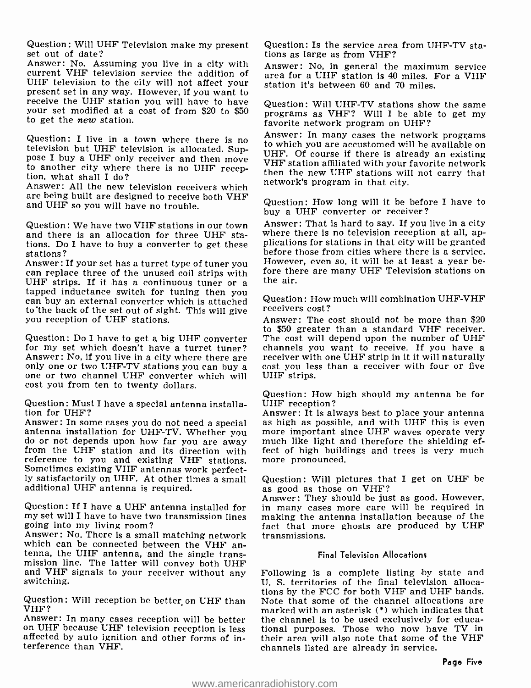Question: Will UHF Television make my present set out of date?

Answer: No. Assuming you live in a city with current VHF television service the addition of UHF television to the city will not affect your<br>present set in any way. However, if you want to<br>receive the UHF station you will have to have<br>Question: Will UHF-TV stations show the same receive the UHF station you will have to have your set modified at a cost of from \$20 to \$50 to get the new station.

Question: I live in a town where there is no television but UHF television is allocated. Supto another city where there is no UHF recep-<br>tion, what shall I do?<br>Answer: All the new television receivers which

are being built are designed to receive both VHF and UHF so you will have no trouble.

Question: We have two VHF stations in our town and there is an allocation for three UHF stations. Do I have to buy a converter to get these plications for stations in that city will be granted<br>stations? stations?

Answer: If your set has a turret type of tuner you Howeve<br>can replace three of the unused coil strips with fore the<br>UHF strips. If it has a continuous tuner or a tapped inductance switch for tuning then you can buy an external converter which is attached to 'the back of the set out of sight. This will give you reception of UHF stations.

Question: Do I have to get a big UHF converter for my set which doesn't have a turret tuner? channels you want to receive. If you have a Answer: No, if you live in a city where there are receiver with one UHF strip in it it will naturally Answer: No, if you live in a city where there are only one or two UHF -TV stations you can buy a one or two channel UHF converter which will cost you from ten to twenty dollars.

Question: Must I have a special antenna installation for UHF?<br>Answer: In some cases you do not need a special

Sometimes existing VHF antennas work perfect-<br>
ly satisfactorily on UHF. At other times a small Question: Will pictures the<br>
additional UHF antenna is required. as good as those on VHF? additional UHF antenna is required.

Question: If I have a UHF antenna installed for my set will I have to have two transmission lines going into my living room?

Answer: No. There is a small matching network tenna, the UHF antenna, and the single transmission line. The latter will convey both UHF and VHF signals to your receiver without any switching.

Question: Will reception be better on UHF than VHF?<br>Answer: In many cases reception will be better

on UHF because UHF television reception is less affected by auto ignition and other forms of in- terference than VHF.

Question: Is the service area from UHF-TV stations as large as from VHF?

Answer: No, in general the maximum service area for a UHF station is 40 miles. For a VHF station it's between 60 and 70 miles.

programs as VHF? Will I be able to get my favorite network program on UHF?

Answer: In many cases the network programs<br>to which you are accustomed will be available on UHF. Of course if there is already an existing<br>VHF station affiliated with your favorite network then the new UHF stations will not carry that network's program in that city.

Question: How long will it be before I have to buy a UHF converter or receiver?

Answer: That is hard to say. If you live in a city where there is no television reception at all, applications for stations in that city will be granted However, even so, it will be at least a year before there are many UHF Television stations on

Question : How much will combination UHF -VHF receivers cost?

Answer: The cost should not be more than \$20 to \$50 greater than a standard VHF receiver. The cost will depend upon the number of UHF channels you want to receive. If you have a cost you less than a receiver with four or five UHF strips.

Question: How high should my antenna be for

Answer: In some cases you do not need a special as high as possible, and with UHF this is even<br>antenna installation for UHF-TV. Whether you more important since UHF waves operate very<br>do or not depends upon how far you are Answer: It is always best to place your antenna<br>as high as possible, and with UHF this is even<br>more important since UHF waves operate very fect of high buildings and trees is very much

Question: Will pictures that I get on UHF be

Answer: They should be just as good. However, in many cases more care will be required in making the antenna installation because of the fact that more ghosts are produced by UHF transmissions.

#### Final Television Allocations

Following is a complete listing by state and U. S. territories of the final television allocations by the FCC for both VHF and UHF bands. Note that some of the channel allocations are marked with an asterisk  $(*)$  which indicates that the channel is to be used exclusively for educational purposes. Those who now have TV in their area will also note that some of the VHF channels listed are already in service.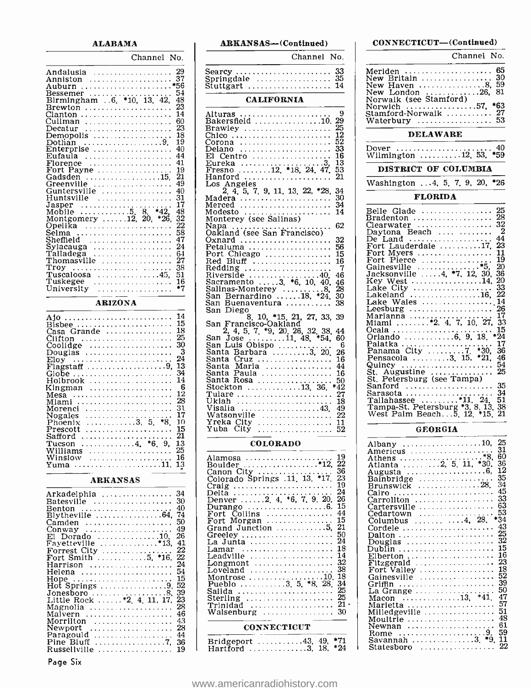#### ALABAMA

Channel No. Andalusia 29 Anniston 37 Auburn \*56 Bessemer 54 Birmingham ..6, \*10, 13, 42, 48 Brewton 23 Clanton 14 Cullman <sup>60</sup> Decatur 23 Demopolis 18 Dothan 9 <sup>19</sup> Enterprise 40 Eufaula 44 Florence 41 Fort Payne 19 Gadsden 15, 21 Greenville 49 Guntersville <sup>40</sup>  $\begin{bmatrix} \text{Huntsville} \text{Huntsville} \text{Hintsville} \text{Hilb} \text{Hilb} \text{Hilb} \text{Hilb} \text{Hilb} \text{Hilb} \text{Hilb} \text{Hilb} \text{Hilb} \text{Hilb} \text{Hilb} \text{Hilb} \text{Hilb} \text{Hilb} \text{Hilb} \text{Hilb} \text{Hilb} \text{Hilb} \text{Hilb} \text{Hilb} \text{Hilb} \text{Hilb} \text{Hilb} \text{Hilb} \text{Hilb} \text{Hilb} \text{Hilb} \text{H$ Montgomery 12, 20, \*26, 32 Opelika<br>Opelika 22 Selma  $\ldots$   $\begin{array}{c} 58 \\ 58 \\ 47 \end{array}$  $\begin{array}{l|l} \text{Sylacauga} & \text{.} & \text{24} \\ \text{Talladega} & \text{.} & \text{64} \\ \text{Thomasville} & \text{.} & \text{27} \\ \end{array}$ Troy 38 Tuscaloosa 45, 51 Tuskegee 16 University \*7 ARIZONA Bisbee 15 Casa Grande 18 Clifton 25 Coolidge 30 Douglas 3 Elo Flagstaff 9 13 Globe 34 Holbrook 14 Kingman 6 Mesa <sup>12</sup> Miami 28 Morenci 31 Nogales <sup>17</sup> Phoenix 3 5, \*8, 10 Prescott <sup>15</sup> Safford 21 Tucson 4, \*6, 9, 13 Williams 25 Winslow 16 Yuma 11, <sup>13</sup> ARKANSAS Arkadelphia 34

| Batesville  30<br>-40<br>Benton<br>Blytheville 64, 74<br>50<br>Camden<br>49<br>Conway<br>26<br>El Dorado 10.<br>Fayetteville *13, 41<br>22<br>$\texttt{Forrest}\ \texttt{City}\ \dots\dots\dots\dots\dots \dots$<br>22<br>Fort Smith 5. *16.<br>24<br>Harrison<br>Helena  54<br>Hope  15<br>Hot Springs 9.52<br>Jonesboro 8, 39<br>Little Rock  . *2 4 11 17<br>23<br>Magnolia   28<br>46<br>Maivern<br>$Morrilton$ 43<br>Newport  28<br>Paragould $\ldots \ldots \ldots \ldots \ldots$<br>Pine Bluff 7. 36<br>Russellville<br>19 | Arkadelphia  34 |  |
|-----------------------------------------------------------------------------------------------------------------------------------------------------------------------------------------------------------------------------------------------------------------------------------------------------------------------------------------------------------------------------------------------------------------------------------------------------------------------------------------------------------------------------------|-----------------|--|
|                                                                                                                                                                                                                                                                                                                                                                                                                                                                                                                                   |                 |  |
|                                                                                                                                                                                                                                                                                                                                                                                                                                                                                                                                   |                 |  |
|                                                                                                                                                                                                                                                                                                                                                                                                                                                                                                                                   |                 |  |
|                                                                                                                                                                                                                                                                                                                                                                                                                                                                                                                                   |                 |  |
|                                                                                                                                                                                                                                                                                                                                                                                                                                                                                                                                   |                 |  |
|                                                                                                                                                                                                                                                                                                                                                                                                                                                                                                                                   |                 |  |
|                                                                                                                                                                                                                                                                                                                                                                                                                                                                                                                                   |                 |  |
|                                                                                                                                                                                                                                                                                                                                                                                                                                                                                                                                   |                 |  |
|                                                                                                                                                                                                                                                                                                                                                                                                                                                                                                                                   |                 |  |
|                                                                                                                                                                                                                                                                                                                                                                                                                                                                                                                                   |                 |  |
|                                                                                                                                                                                                                                                                                                                                                                                                                                                                                                                                   |                 |  |
|                                                                                                                                                                                                                                                                                                                                                                                                                                                                                                                                   |                 |  |
|                                                                                                                                                                                                                                                                                                                                                                                                                                                                                                                                   |                 |  |
|                                                                                                                                                                                                                                                                                                                                                                                                                                                                                                                                   |                 |  |
|                                                                                                                                                                                                                                                                                                                                                                                                                                                                                                                                   |                 |  |
|                                                                                                                                                                                                                                                                                                                                                                                                                                                                                                                                   |                 |  |
|                                                                                                                                                                                                                                                                                                                                                                                                                                                                                                                                   |                 |  |
|                                                                                                                                                                                                                                                                                                                                                                                                                                                                                                                                   |                 |  |
|                                                                                                                                                                                                                                                                                                                                                                                                                                                                                                                                   |                 |  |
|                                                                                                                                                                                                                                                                                                                                                                                                                                                                                                                                   |                 |  |
|                                                                                                                                                                                                                                                                                                                                                                                                                                                                                                                                   |                 |  |
|                                                                                                                                                                                                                                                                                                                                                                                                                                                                                                                                   |                 |  |

Page Six

| ARKANSAS-(Continued)                                                                                                                                                                                                                                                                                                                                                                                                                                    | с                                                                                                                                                                       |
|---------------------------------------------------------------------------------------------------------------------------------------------------------------------------------------------------------------------------------------------------------------------------------------------------------------------------------------------------------------------------------------------------------------------------------------------------------|-------------------------------------------------------------------------------------------------------------------------------------------------------------------------|
| Channel No.                                                                                                                                                                                                                                                                                                                                                                                                                                             |                                                                                                                                                                         |
| Searcy<br>33<br>. <b>.</b><br>35<br>Springdale<br>Springdale<br>Stuttgart<br>14                                                                                                                                                                                                                                                                                                                                                                         | Me.<br>Ne۱<br>Ne۱<br>Ne                                                                                                                                                 |
| <b>CALIFORNIA</b>                                                                                                                                                                                                                                                                                                                                                                                                                                       | No.                                                                                                                                                                     |
| 9<br>Alturas<br>Bakersfield<br>Brawley<br>Erawley<br>Corona<br>Corona<br>El Centro<br>Fureka<br>Fureka<br>Presta<br>Presta<br>Presta<br>Presta<br>Presta<br>Presta<br>Presta<br>Presta<br>Presta<br>Presta<br>Presta<br>Presta<br>Presta<br>Presta<br>Presta<br>Presta<br>Presta<br>Pre<br>$\begin{array}{c} 29 \\ 25 \\ 12 \\ 52 \end{array}$<br>$\tilde{3}\tilde{3}$<br>16<br>Eureka<br>Fresno 12, *18, 24, 47,<br>Hanford<br>Los Angeles<br>5.<br>21 | No:<br>Sta<br>Wa<br>D٥<br>Wi.<br>J                                                                                                                                      |
| Los Angeles<br>2.4.5.7.9.11.13.22.*28.<br>$\frac{34}{30}$<br>Madera<br>Merced<br>Modesto<br>Modesto<br>Monterey (see Salinas)<br>Monterey (see Salinas)<br>34<br>$\overline{14}$                                                                                                                                                                                                                                                                        | Wa<br>Bel<br>Brε                                                                                                                                                        |
| Napa<br>62<br>Oakland (see San Francisco)<br>Oakland (see San Francisco)<br>Oxnard (see San Francisco)<br>Petaluma (see San Francisco)<br>Red Bluff<br>Riverside (see San Francisco)<br>Riverside (see San Francisco)<br>San Bernardino (see San Francisco)<br>San Bernardino (see San Francisco<br>32<br>56<br>īš<br>$\frac{16}{7}$<br>7<br>46<br>$\frac{46}{28}$<br>28<br>30<br>38                                                                    | Cle<br>Da∶<br>De<br>For<br>$\mathbf{\tilde{F}}$ oi<br>For<br>Gai<br>Jac<br>Ke<br>Ļai<br>Lal<br>Lal                                                                      |
| San Diego<br>Yuba                                                                                                                                                                                                                                                                                                                                                                                                                                       | Lee<br>Ma<br>Mi<br>Ocε<br>Orl<br>Pal<br>Pa:<br>Pei<br>Qu<br>Št.<br>Št.<br>Saı<br>Sai<br>Tal<br>Ta<br>W٤                                                                 |
| <b>COLORADO</b>                                                                                                                                                                                                                                                                                                                                                                                                                                         | Alt                                                                                                                                                                     |
| 19<br>Alamosa<br>.<br>$\bar{2}\bar{2}$<br>Boulder<br>$\frac{36}{23}$<br>19<br>$\overline{2}$<br>$\frac{26}{15}$<br>$\frac{44}{3}$<br>$\frac{15}{21}$<br>$\bar{50}$<br>$24$<br>18<br>14<br>32<br>32<br>18<br>$^{34}_{25}$<br>Salida<br>Salida<br>Sterling<br>Trinidad<br>Trinidad<br>Walsenburg<br>$\frac{25}{21}$ .<br>30                                                                                                                               | Αn<br>Atl<br>Atl<br>Αu<br>Ba<br>Br<br>Ca:<br>Ca:<br>Ca:<br>Ca:<br>Čē<br>Čο<br>Co:<br>Da<br>Эo<br>Du<br>Ell<br>Fil<br>Fo<br>Ga<br>Gr<br>La<br>Mε<br>$M\varepsilon$<br>Mi |

#### **CONNECTICUT**

| Bridgeport 43, 49, $*71$ |  |
|--------------------------|--|

|                                                                                                                                                                                                                                                                                                                                                                                                     | Channel No.                                                                                                                                                                |
|-----------------------------------------------------------------------------------------------------------------------------------------------------------------------------------------------------------------------------------------------------------------------------------------------------------------------------------------------------------------------------------------------------|----------------------------------------------------------------------------------------------------------------------------------------------------------------------------|
| Meriden<br>New Britain<br>New Haven<br>New Haven<br>New London 26,<br>Norwalk (see Stamford)                                                                                                                                                                                                                                                                                                        | 65<br>.<br>30<br>59<br>81                                                                                                                                                  |
| <b>DELAWARE</b>                                                                                                                                                                                                                                                                                                                                                                                     |                                                                                                                                                                            |
| $Dover \dots \dots \dots \dots \dots$                                                                                                                                                                                                                                                                                                                                                               | 40<br>*59                                                                                                                                                                  |
| DISTRICT OF COLUMBIA                                                                                                                                                                                                                                                                                                                                                                                |                                                                                                                                                                            |
| Washington  4, 5, 7, 9, 20, *26                                                                                                                                                                                                                                                                                                                                                                     |                                                                                                                                                                            |
| <b>FLORIDA</b>                                                                                                                                                                                                                                                                                                                                                                                      |                                                                                                                                                                            |
| Belle Glade<br>Bradenton<br>Clearwater<br>Clearwater<br>Clearwater<br>Daytona Beach<br>De Land<br>Trort Mayers<br>Fort Myers<br>Fort Myers<br>There Clincolne<br>Cainesville<br>Jacksonville<br>Jacksonville<br>Jacksonville<br>Lake City<br>Lake City<br>Lake City<br>Lake Males<br>Lake Males<br>Lake Wales<br>Leesburg<br>Quincy<br>St. Augustine<br>St. Augustine<br>St. Petersburg (see Tampa) | $\frac{25}{28}$<br>2<br>44<br>23<br>11<br>19<br>20<br>36<br>20<br>33<br>22<br>14<br>$\bar{26}$<br>17<br>27, 33<br>15<br>54<br>.<br>25<br>35<br>34<br>51<br>$\frac{38}{21}$ |
| <b>GEORGIA</b>                                                                                                                                                                                                                                                                                                                                                                                      |                                                                                                                                                                            |
| Augusta                                                                                                                                                                                                                                                                                                                                                                                             | -25<br>31<br>$*8,$<br>60<br>36<br>12                                                                                                                                       |

CONNE CTICUT- ( Continued )

|                                         | 25    |
|-----------------------------------------|-------|
| Americus                                | 31    |
|                                         | 60    |
|                                         | 36    |
| Augusta                                 | 12    |
|                                         | 35    |
| Brunswick 28.                           | 34    |
| Cairo                                   | 45    |
|                                         | 33    |
|                                         | 63    |
|                                         | 53    |
| Cedartown                               | $*34$ |
| Columbus $\ldots \ldots \ldots 4$ , 28. | 43    |
| Cordele                                 | 25    |
| Dalton                                  | 32    |
| Douglas                                 |       |
| Dublin                                  | 15    |
| $E$ lberton                             | 16    |
|                                         | -23   |
| Fort Valley                             | 18    |
| Gainesville                             | 52    |
| Griffin                                 | 39    |
| La Grange                               | 50    |
|                                         | 47    |
| Marietta                                | 57    |
| Milledgeville                           | 51    |
| Moultrie                                | 48    |
| Newnan                                  | 61    |
| .<br>Rome                               | 59    |
| Savannah 3. $*9$ .                      | 11    |
|                                         | 22    |
| Statesboro<br>.                         |       |

#### <www.americanradiohistory.com>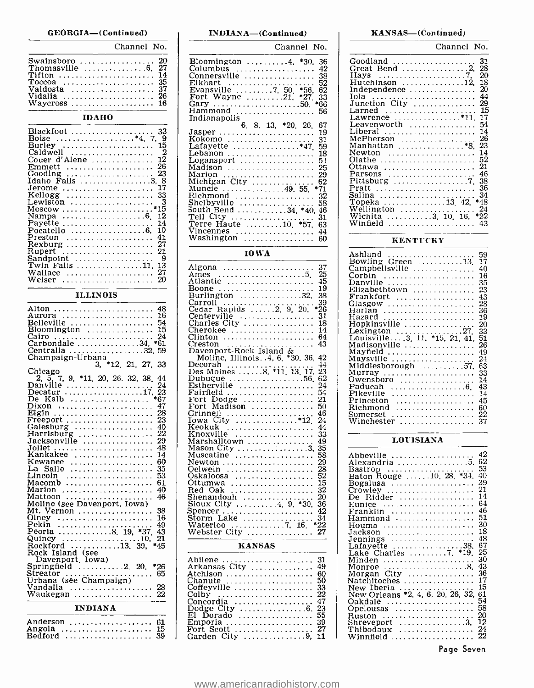#### GEORGIA-(Continued)

## Channel No. Swainsboro<br>Thomasville<br>Tifton .............<br>Toccoa ............<br>Valdosta ...........<br>Vidalia ............ Waycross 16  $\begin{array}{c} .20 \\ .37 \\ .35 \\ .37 \\ .26 \end{array}$

#### IDAHO

| Blackfoot  33<br>Boise *4. 7. 9         |  |
|-----------------------------------------|--|
| Burley  15                              |  |
| Caldwell<br>- 2                         |  |
| Couer d'Alene $\ldots \ldots \ldots 12$ |  |
| Emmett  26<br>Gooding  23               |  |
| Idaho Falls 3, 8                        |  |
| Jerome  17                              |  |
| Kellogg  33                             |  |
| Lewiston  3                             |  |
| *15<br>Nampa 6 12                       |  |
| -14                                     |  |
| Pocatello 6. 10                         |  |
| Preston  41                             |  |
| Rexburg  27                             |  |
| Sandpoint<br>- 9                        |  |
| Twin Falls 11, 13                       |  |
| Wallace<br>- 27                         |  |
| Weiser<br>20                            |  |

#### ILLINOIS

| Alton<br>48<br>. <i>.</i> .                                    |  |
|----------------------------------------------------------------|--|
| 16<br>Aurora                                                   |  |
| Belleville<br>54                                               |  |
| $B$ loomington<br>15                                           |  |
| Cairo<br>24<br>.<br>.                                          |  |
| Carbondale 34.<br>*61                                          |  |
|                                                                |  |
| Centralia 32, 59<br>Champaign-Urbana                           |  |
| 3. *12. 21. 27. 33                                             |  |
| Chicago                                                        |  |
| 9, *11, 20, 26, 32, 38,<br>44<br>2. 5.<br>7.                   |  |
| Danville                                                       |  |
| Decatur                                                        |  |
| De Kalb                                                        |  |
| 47<br>Dixon                                                    |  |
| 28<br>Elgin                                                    |  |
| 23<br>$F$ reeport                                              |  |
| Galesburg $\dots\dots\dots\dots\dots\dots$<br>40               |  |
| 22<br>Harrisburg                                               |  |
| Jacksonville<br>29                                             |  |
| 48<br>Joliet                                                   |  |
| . <b>.</b><br>14<br>Kankakee                                   |  |
| 60<br>Kewanee<br>.                                             |  |
| La Salle<br>35                                                 |  |
| Lincoln<br>53                                                  |  |
| Macomb<br>61                                                   |  |
| Marion<br>40                                                   |  |
| Mattoon<br>46                                                  |  |
| Moline (see Davenport, Iowa)                                   |  |
| 38<br>Mt. Vernon                                               |  |
| Olney<br>16                                                    |  |
| Pekin<br>49                                                    |  |
| Peoria 8, 19,<br>$*37.$<br>43                                  |  |
| 21                                                             |  |
| Quincy 10,<br>*45<br>Rockford                                  |  |
| $\cdots \cdots \cdots \cdots \cdots 13.39$ .                   |  |
| Rock Island (see                                               |  |
| Davenport, Iowa)<br>Springfield $\ldots \ldots \ldots 2$ , 20, |  |
| *26                                                            |  |
| Streator<br>65<br>Streator<br>Urbana (see Champaign)           |  |
|                                                                |  |
| Vandalia<br>.                                                  |  |
| Waukegan                                                       |  |
| <b>INDIANA</b>                                                 |  |
|                                                                |  |

#### INDIANA—(Continued) RANSAS—(Continued)

| Channel                                                                                                                                                                                                                                                                                                                                                                                                                                                                                                                     | No.                                                                                                                                                                       |
|-----------------------------------------------------------------------------------------------------------------------------------------------------------------------------------------------------------------------------------------------------------------------------------------------------------------------------------------------------------------------------------------------------------------------------------------------------------------------------------------------------------------------------|---------------------------------------------------------------------------------------------------------------------------------------------------------------------------|
| Bloomington<br>$\ldots 4$ .<br>*30.<br>Jolumbus<br>$\ldots$ .<br>onnersville<br>$\ddot{\phantom{a}}$<br>Elkhart<br>50<br>*56,<br>vansville<br>. 7,<br>F<br>Wayne<br>.21,<br>*27<br>Fort<br>Gary<br>$\ldots$ .<br>.50.<br>Gary<br>Hammond<br>.<br>Indianapolis                                                                                                                                                                                                                                                               | 36<br>42<br>38<br>52<br>62<br>33<br>*66<br>56                                                                                                                             |
| 6.<br>26.<br>- 8,<br>13,<br>*20.<br>Jasper<br>.<br>$\cdots$<br>$\sim$ $\sim$<br>$\bullet$<br>Kokomo<br>$*_{47}$<br>Lafayette<br>ebanon .<br>.<br>ogansport.<br><i>Loguison</i><br>Madison<br>Marion<br>Michigan City<br>Muncle<br>Richmond<br>٠<br>. . 49.<br>$\ldots$<br>Shelbyville<br>South Bend<br>Tell City<br>$*40,$<br>.34.<br>*57,<br>. 10,<br>Terre Haute<br>Vincennes .<br>Washington<br>.                                                                                                                        | 67<br>19<br>31<br>59<br>18<br>$\frac{51}{25}$<br>29<br>62<br>$^{*71}_{32}$<br>58<br>46<br>31<br>63<br>44<br>60                                                            |
| <b>IOWA</b>                                                                                                                                                                                                                                                                                                                                                                                                                                                                                                                 |                                                                                                                                                                           |
| Algona<br>5.<br>Ames<br>Atlantic<br>Boone<br>Burlington<br>$\sim$ $\sim$ $\sim$<br>Carroll<br>$\ldots$<br>$\cdot$ 2.<br>$\overline{9}$ .<br>20.<br>Cedar Rapids<br>Centerville<br>$\ddot{\phantom{0}}$<br>Charles City<br>Cherokee<br>Clinton<br>reston                                                                                                                                                                                                                                                                     | 37<br><br>25<br>45<br>19<br>38<br>$*_{26}^{39}$<br>зī<br>18<br>14<br>64<br>43                                                                                             |
| Davenport-Rock Island<br>Moline, Illinois. 4, 6, *30, 36,<br>Decorah<br>13, 17,<br>Des Moines<br>. 56,<br>Dubuque<br>Estherville<br>Fairfield<br>Fairfield<br>Fort Dodge<br>Fort Madison<br>.<br>$\sim 100$ km s $^{-1}$<br>Grinnell<br>Iowa City<br>Keokuk<br>Knoxville<br>Marshalltown<br>Mason City<br>Muscatine<br>Newton<br>)elwein<br>)skaloosa<br>Ittumwa<br>Red Oak<br>.<br>shenandoah<br>$*30,$<br>9.<br>Suenany<br>Sioux City<br>Storm Lake<br>Storm Lake<br>4.<br>$\cdots$<br>Waterloo 7,<br>Webster City<br>16. | 42<br>44<br>23<br>$\tilde{6}2$<br>24<br>54<br>$\frac{5}{2}$<br>50<br>46<br>$\bar{24}$<br>44<br>33<br>49<br>35<br>58<br>29<br>28<br>52<br>15<br>32<br>žō<br>36<br>42<br>34 |
| <b>KANSAS</b>                                                                                                                                                                                                                                                                                                                                                                                                                                                                                                               |                                                                                                                                                                           |

# Abilene 31 Arkansas City <sup>49</sup> Atchison 60 Chanute <sup>50</sup> Coffeyville 33 Colby 22 Concordia 47 Dodge City 6. 23 El Dorado 55 Fort Scott ..................... 27 |<br>Garden City ................9, 11 |

| Channel No.                                       |
|---------------------------------------------------|
| 31<br>Goodland                                    |
| 28                                                |
| 20<br>Havs                                        |
| 18<br>Hutchinson 12,                              |
| 20<br>Independence                                |
| 44<br>Tola                                        |
| Junction City<br>29                               |
| 15<br>Larned                                      |
| 17<br>Lawrence $\ldots \ldots \ldots \ldots$ *11. |
| 54<br>Leavenworth                                 |
| Liberal<br>14                                     |
| 26<br>McPherson                                   |
| 23<br>Manhattan *8.                               |
| 14<br>Newton                                      |
| 52<br>Olathe                                      |
| 21<br>Ottawa                                      |
| 46<br>Parsons                                     |
| 38                                                |
| 36<br>Pratt                                       |
| 34<br>Salina                                      |
| Topeka 13 42.<br>*48                              |
| 24<br>Wellington                                  |
| *22<br>Wichita 3, 10, 16,                         |
| Winfield<br>43                                    |

#### KENTUCKY

| Ashland<br>.                                        | 59 |
|-----------------------------------------------------|----|
| Bowling Green 13                                    | 17 |
| Campbellsville                                      | 40 |
|                                                     | 16 |
| Corbin                                              |    |
| Danville                                            | 35 |
| Elizabethtown                                       | 23 |
| Frankfort                                           | 43 |
|                                                     | 28 |
| Harlan                                              | 36 |
| Hazard                                              | 19 |
| Hopkinsville                                        | 20 |
| Lexington $\ldots \ldots \ldots \ldots \ldots 27$ . | 33 |
| Louisville3, 11. *15, 21, 41,                       | 51 |
| Madisonville                                        | 26 |
|                                                     |    |
| Mayfield                                            | 49 |
| Maysville                                           | 24 |
| Middlesborough 57,                                  | 63 |
| Murray                                              | 33 |
| Owensboro                                           | 14 |
|                                                     | 43 |
| Pikeville                                           | 14 |
| Princeton<br>.                                      | 45 |
| Richmond<br>.                                       | 60 |
| Somerset<br>.                                       | 22 |
|                                                     | 37 |
| Winchester                                          |    |

#### LOUISIANA

| Abbeville                                            | 42<br>62 |
|------------------------------------------------------|----------|
| Alexandría 5.                                        | 53       |
| Bastrop<br>Baton Rouge 10, 28, *34,                  | 40       |
|                                                      | 39       |
| Bogalusa                                             | 21       |
| De Ridder                                            | 14       |
| Eunice                                               | 64       |
|                                                      | 46       |
| Hammond                                              | 51       |
| Houma                                                | 30       |
| Jackson <b>.</b>                                     | 18       |
| Jennings                                             | 48       |
| Lafayette 38.                                        | 67       |
| Lake Charles 7. *19.                                 | 25       |
| Minden                                               | 30       |
| Monroe $\ldots \ldots \ldots \ldots \ldots \ldots$ . | 43       |
| Morgan City                                          | 36       |
| Natchitoches                                         | 17       |
| New Iberia                                           | 15       |
| New Orleans *2, 4, 6, 20, 26, 32,                    | 61       |
| Oakdale                                              | 54       |
| Opelousas                                            | 58       |
| Ruston                                               | 20<br>12 |
| Shreveport 3.                                        |          |
| Thibodaux                                            | 24<br>22 |
|                                                      |          |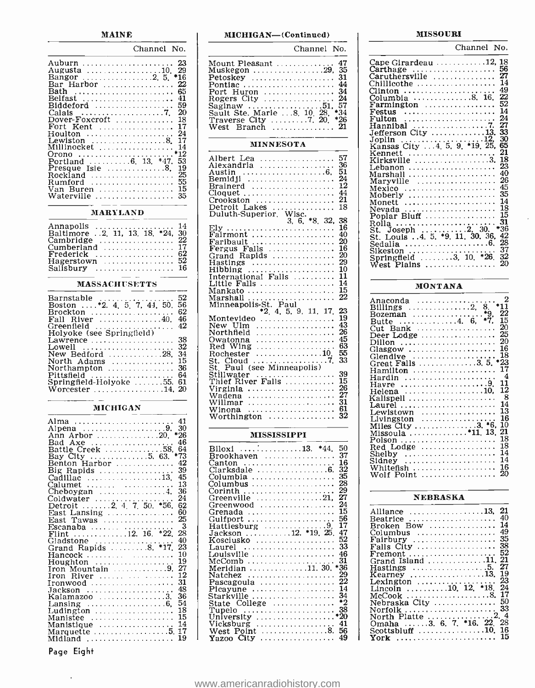#### Channel No.

| -23                                                          |  |
|--------------------------------------------------------------|--|
| Augusta 10.<br>- 29                                          |  |
|                                                              |  |
| -22<br>Bar Harbor                                            |  |
| 65<br>Bath                                                   |  |
| 41<br>Belfast                                                |  |
| Biddeford<br>59                                              |  |
| - 20<br>Calais $\ldots \ldots \ldots \ldots \ldots \ldots 7$ |  |
| -18<br>Dover-Foxcroft                                        |  |
| -17<br>Fort Kent                                             |  |
| 24<br>Houlton                                                |  |
| Lewiston $\ldots \ldots \ldots \ldots 8$ .<br>17             |  |
| -14                                                          |  |
| *12<br>Orono                                                 |  |
| 53<br>Portland $\ldots \ldots 6$ , 13, $*47$ .               |  |
| Presque Isle $\dots \dots \dots$ 8.<br>19                    |  |
| 25<br>Rockland                                               |  |
| -55<br>Rumford                                               |  |
| Van Buren  15                                                |  |
| Waterville<br>35                                             |  |
|                                                              |  |

#### MARYLAND

| Annapolis  14                     |  |
|-----------------------------------|--|
| Baltimore .2, 11, 13, 18, *24, 30 |  |
| Cambridge  22                     |  |
| Cumberland  17                    |  |
|                                   |  |
| $\rm Hagerstown$ $52$             |  |
| Salisbury $16$                    |  |

#### **MASSACHUSETTS**

| Barnstable<br>.<br>Boston  *2. 4. 5. 7. 44. 50.<br>Brockton<br>Fall River $\dots \dots \dots \dots 40$ .<br>Greenfield<br>Holyoke (see Springfield) | 52<br>56<br>62<br>46<br>-42 |  |
|-----------------------------------------------------------------------------------------------------------------------------------------------------|-----------------------------|--|
| Lawrence                                                                                                                                            | 38                          |  |
| Lowell                                                                                                                                              | 32                          |  |
| New Bedford 28.                                                                                                                                     | 34                          |  |
| North Adams                                                                                                                                         | 15                          |  |
| Northampton                                                                                                                                         | -36                         |  |
| Pittsfield                                                                                                                                          | 64                          |  |
| Springfield-Holyoke 55, 61                                                                                                                          |                             |  |
| Worcester 14. 20                                                                                                                                    |                             |  |

#### MICHIGAN

| Alma                                                      | 41<br>30 |
|-----------------------------------------------------------|----------|
| Alpena 9.<br>Ann Arbor 20                                 | *26      |
| Bad Axe<br>.                                              | 46       |
| Battle Creek 58,                                          | 64       |
|                                                           | *73      |
| Bay City 5. 63.<br>Benton Harbor                          | 42       |
| Big Rapids                                                | 39       |
| Cadillac $\ldots \ldots \ldots \ldots \ldots \ldots 13$ . | 45       |
| Calumet                                                   | 13       |
| Cheboygan $\ldots \ldots \ldots \ldots 4$ .               | 36       |
|                                                           | 24       |
| Coldwater<br>Detroit 2, 4, 7, 50, *56,                    | 62       |
| East Lansing                                              | 60       |
| East Tawas                                                | 25       |
| Escanaba                                                  | 3        |
| Flint 12, 16. $*22$ .                                     | 28       |
|                                                           | 40       |
|                                                           | 23       |
| Hancock                                                   | 10       |
| $Houghton$                                                | 19       |
| $\Gamma$ ron Mountain $\ldots \ldots \ldots \ldots$       | 27       |
| Iron River                                                | 12       |
| $Ironwood$                                                | 31       |
| $Jackson$                                                 | 48       |
| Kalamazoo 3.                                              | 36       |
| Lansing $\ldots \ldots \ldots \ldots \ldots 6$ ,          | 54       |
| Ludington $\ldots \ldots \ldots \ldots \ldots$            | 18       |
| Manistee                                                  | 15       |
| Manistique                                                | 14       |
| Marquette $\ldots \ldots \ldots \ldots \ldots 5$ .        | 17       |
| Midland                                                   | 19       |

Page Eight

#### MICHIGAN-(Continued)

| Channel No. |                                                                                                                                                                                                                                                                                                                                                                                                                                                                                                                                                                                                                                                                                                                                                                                                                                                                                                                                                                                                                                                                                                                                                                                                                                                                                                                                                                                              |
|-------------|----------------------------------------------------------------------------------------------------------------------------------------------------------------------------------------------------------------------------------------------------------------------------------------------------------------------------------------------------------------------------------------------------------------------------------------------------------------------------------------------------------------------------------------------------------------------------------------------------------------------------------------------------------------------------------------------------------------------------------------------------------------------------------------------------------------------------------------------------------------------------------------------------------------------------------------------------------------------------------------------------------------------------------------------------------------------------------------------------------------------------------------------------------------------------------------------------------------------------------------------------------------------------------------------------------------------------------------------------------------------------------------------|
|             |                                                                                                                                                                                                                                                                                                                                                                                                                                                                                                                                                                                                                                                                                                                                                                                                                                                                                                                                                                                                                                                                                                                                                                                                                                                                                                                                                                                              |
|             |                                                                                                                                                                                                                                                                                                                                                                                                                                                                                                                                                                                                                                                                                                                                                                                                                                                                                                                                                                                                                                                                                                                                                                                                                                                                                                                                                                                              |
|             | $\begin{array}{c} 57 \\ 36 \\ 51 \end{array}$<br>24<br>ī2<br>$^{44}_{21}$<br>$\begin{array}{c} 21 \\ 18 \end{array}$<br>$\frac{38}{16}$<br>40<br>20<br>16<br>$^{20}_{29}$<br>$_{10}$<br>$\mathbf{1}$<br>14<br>15                                                                                                                                                                                                                                                                                                                                                                                                                                                                                                                                                                                                                                                                                                                                                                                                                                                                                                                                                                                                                                                                                                                                                                             |
|             | $\frac{23}{19}$<br>43<br>26<br>$\frac{45}{63}$                                                                                                                                                                                                                                                                                                                                                                                                                                                                                                                                                                                                                                                                                                                                                                                                                                                                                                                                                                                                                                                                                                                                                                                                                                                                                                                                               |
|             | $\frac{39}{15}$<br>26<br>27<br>31<br>61                                                                                                                                                                                                                                                                                                                                                                                                                                                                                                                                                                                                                                                                                                                                                                                                                                                                                                                                                                                                                                                                                                                                                                                                                                                                                                                                                      |
|             |                                                                                                                                                                                                                                                                                                                                                                                                                                                                                                                                                                                                                                                                                                                                                                                                                                                                                                                                                                                                                                                                                                                                                                                                                                                                                                                                                                                              |
|             |                                                                                                                                                                                                                                                                                                                                                                                                                                                                                                                                                                                                                                                                                                                                                                                                                                                                                                                                                                                                                                                                                                                                                                                                                                                                                                                                                                                              |
|             | $\begin{tabular}{l c c c} \hline & \multicolumn{1}{c}{\textbf{Mount Pleasant}} & \multicolumn{1}{c}{\textbf{47}} \\ \hline \multicolumn{1}{c}{\textbf{Munkegon}} & \multicolumn{1}{c}{\textbf{29}} & \multicolumn{1}{c}{\textbf{35}} \\ \hline \multicolumn{1}{c}{\textbf{Potuse}} & \multicolumn{1}{c}{\textbf{36}} \\ \hline \multicolumn{1}{c}{\textbf{Pontlac}} & \multicolumn{1}{c}{\textbf{34}} \\ \hline \multicolumn{1}{c}{\textbf{Rogers City}} & \multicolumn{1}{c}{\$<br><b>MINNESOTA</b><br>Albert Lea<br>Alexandria<br>Alexandria<br>Bemildjl<br>Bemildjl<br>Cloquet<br>Cloquet<br>Cloquet<br>Duluth-Superior, Wisc.<br>2, 6, 48, 32,<br>Fly<br>Duluth-Superior, Wisc.<br>Ely<br>Fairmont<br>Fairmont<br>Fairmont<br>Fairmont<br>Fairmont<br>Fairmont<br>Fairmont<br>Grand Rapids<br>Hastings<br>Hastings<br>Hastings<br>International Falls<br>Minneapolis-St. Paul<br>Minneapolis-St. Paul<br>Minneapolis-St<br><b>MISSISSIPPI</b><br>$\begin{tabular}{c c c} \multicolumn{1}{c}{\textbf{MISSISISIPPI}} \quad \textbf{MISSISISIPPI} \\\hline \textbf{BIOoxl} & 37 & *44, 50 \\ \textbf{Canton} & 16 & 32 \\ \textbf{Canton} & . & 16 \\ \textbf{Clauksdale} & . & 32 \\ \textbf{Columbus} & . & 28 \\ \textbf{Columbus} & . & 28 \\ \textbf{Crecurula} & . & 12 \\ \textbf{Greenvood} & . & 12 \\ \textbf{Greenvood} & . & 15 \\ \textbf{Gulifport} & . & . & 56 \\ \textbf{$ |

#### MISSOURI

Channel No.

| Cape Girardeau 12, 18                     |      |
|-------------------------------------------|------|
| Carthage  56                              |      |
| Caruthersville                            | - 27 |
| Chillicothe                               | 14   |
| Clinton                                   | 49   |
| Columbia 8. 16.                           | 22   |
|                                           | 52   |
| Festus                                    | 14   |
| Fulton                                    | 24   |
|                                           | 27   |
| Jefferson City 13.                        | 33   |
|                                           | 30   |
|                                           | 65   |
| Kennett                                   | 21   |
| $Kirksville$ 3.                           | 18   |
|                                           | 23   |
| Marshall                                  | 40   |
| Marvville                                 | 26   |
| Mexico                                    | 45   |
| Moberly                                   | -35  |
| Monett                                    | -14  |
| Nevada                                    | -18  |
| Poplar Bluff                              | 15   |
| Rolla                                     | 31   |
| St. Joseph $\ldots \ldots \ldots 2$ . 30. | *36  |
| St. Louis 4, 5, *9, 11, 30, 36,           | 42   |
| Sedalia 6.                                | 28   |
|                                           | 37   |
| Springfield 3, 10, *26.                   | 32   |
| West Plains                               | 20   |
|                                           |      |

#### MONTANA

| 2<br>Anaconda<br>*11<br>Billings $\ldots \ldots \ldots \ldots \ldots 2$ . 8.<br>22<br>Bozeman *9.<br>Butte 4. 6. *7.<br>15<br>20<br>$Cut$ Bank |  |
|------------------------------------------------------------------------------------------------------------------------------------------------|--|
| Deer Lodge 25                                                                                                                                  |  |
|                                                                                                                                                |  |
| 18<br>$G$ lendive<br>Great Falls 3.5. *23                                                                                                      |  |
| Hamilton  17<br>$\overline{4}$                                                                                                                 |  |
| Hardin<br>11<br>Havre 9.                                                                                                                       |  |
| Helena $\cdots$ $\cdots$ $\cdots$ $\cdots$ $\cdots$ $\cdots$ $\cdots$ $\cdots$ $\overline{12}$<br>- 8                                          |  |
| Laurel  14<br>Lewistown $\ldots \ldots \ldots \ldots \ldots 13$                                                                                |  |
| 16<br>$Livineston$                                                                                                                             |  |
| 10<br>Miles City 3. *6,<br>21                                                                                                                  |  |
| Red Lodge  18                                                                                                                                  |  |
| Shelby $\dots \dots \dots \dots \dots \dots \dots \dots$ 14                                                                                    |  |
| Sidnev<br>Whitefish , 16                                                                                                                       |  |
| Wolf Point  20                                                                                                                                 |  |

### NEBRASKA

| Alliance 13.                                             | 21  |
|----------------------------------------------------------|-----|
| Beatrice                                                 | 40  |
| Broken Bow                                               | 14  |
| $Columbus$                                               | 49  |
| Fairbury                                                 | 35  |
|                                                          | 38  |
| $Fremont$                                                | 52  |
| Grand Island 11. 21                                      |     |
| $Hastings$ 5.                                            | 27  |
| Kearney 13.                                              | 19  |
| Lexington                                                | 23  |
| Lincoln  10, 12, *18.                                    | 24  |
| McCook 8.                                                | 17  |
| Nebraska City                                            | -50 |
|                                                          |     |
| North Platte 2. 4                                        |     |
| Omaha 3. 6. 7. *16. 22. 28                               |     |
| Scottsbluff $\ldots \ldots \ldots \ldots \ldots 10$ . 16 |     |
| York  15                                                 |     |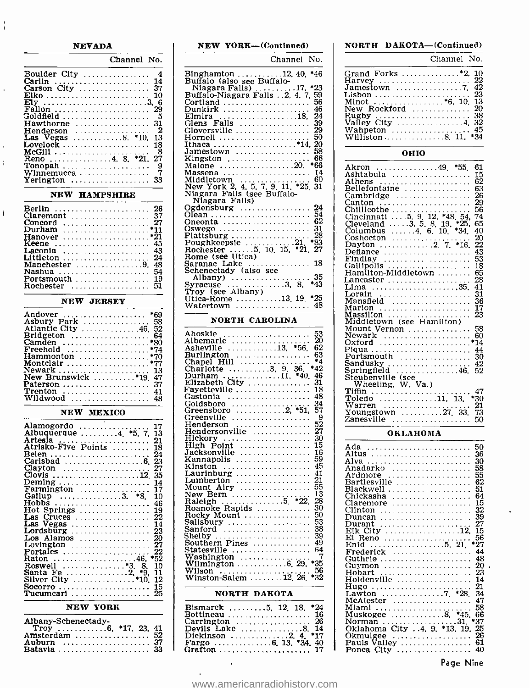#### NEVADA

 $\frac{1}{4}$ 

 $\ddot{\phantom{a}}$ 

 $\mathbf i$ 

| Channel No.                                                                                                                                                                                                                |                                                                                                                         |
|----------------------------------------------------------------------------------------------------------------------------------------------------------------------------------------------------------------------------|-------------------------------------------------------------------------------------------------------------------------|
| Boulder City  4<br>Carlin  14<br>Goldfield<br>- 5<br>Hawthorne $\ldots \ldots \ldots \ldots 31$<br>2<br>Henderson<br><b>Las</b> Vegas 8. *10, 13<br>Lovelock  18<br>-8<br>Reno,      4, 8, *21, 27<br>9<br>7<br>Winnemucca | Bing<br>Buff<br>Ni:<br>Buff:<br>Corti<br>Dunl<br>Elmi<br>Glen<br>Glove<br>Horr<br>Ithao<br>Jame<br>King<br>Malo<br>Mass |
|                                                                                                                                                                                                                            | Midd                                                                                                                    |

#### NEW HAMPSHIRE

|                                                  | O  |
|--------------------------------------------------|----|
| Claremont  37                                    | O  |
| Concord $\ldots \ldots \ldots \ldots \ldots 27$  | O. |
| Durham *11                                       | Ω: |
|                                                  | P. |
| Keene  45                                        | P, |
| Laconia  43                                      | R  |
|                                                  | R  |
| Manchester $\ldots$ , $\ldots$ , $\ldots$ , 9.48 | S  |
| Nashua  54                                       | S. |
| Portsmouth $\ldots \ldots \ldots \ldots 19$      |    |
|                                                  | S: |

#### NEW JERSEY

| Andover $\ldots \ldots \ldots \ldots \ldots$ *69               |    |
|----------------------------------------------------------------|----|
| Asbury Park  58                                                |    |
| Atlantic City  46, 52                                          |    |
|                                                                |    |
|                                                                |    |
|                                                                |    |
|                                                                |    |
|                                                                |    |
| Newark  13                                                     |    |
| New Brunswick $\dots \dots \dots$ *19.47<br><b>Paterson</b> 37 |    |
| <b>Trenton</b>                                                 | 41 |
| Wildwood                                                       |    |
|                                                                |    |

### NEW MEXICO

| Alamogordo                                                               |  |
|--------------------------------------------------------------------------|--|
| Atrisko-Five Points  18                                                  |  |
| Belen<br>24                                                              |  |
| Clayton<br>27                                                            |  |
| $Deming \dots \dots \dots \dots \dots \dots \dots$<br>14                 |  |
| Farmington $\ldots \ldots \ldots \ldots \ldots$ 17<br>Gallup 3. *8<br>10 |  |
| $Hobbs$<br>46<br>Hot Springs $\ldots \ldots \ldots \ldots \ldots$ 19     |  |
|                                                                          |  |
| Las Vegas<br><b>14</b>                                                   |  |
| 20<br>Los Alamos<br>$Lovington$<br>27                                    |  |
| 22<br>Raton 46. *52                                                      |  |
| Roswell *3. 8.<br>10<br>11                                               |  |
| Santa Fe 2, *9.<br>Silver City $\dots \dots \dots \dots$ *10.<br>12      |  |
| 15<br>Tucumcari<br>25                                                    |  |

#### NEW YORK

| Albany-Schenectady- |  |  |  |
|---------------------|--|--|--|
| Amsterdam           |  |  |  |
| Auburn              |  |  |  |

| NEW YORK--- (Continued)                                     | N                    |
|-------------------------------------------------------------|----------------------|
| Channel No.                                                 |                      |
| Binghamton 12, 40, *46<br>Buffalo (also see Buffalo-        | ម្អ                  |
|                                                             |                      |
| Niagara Falls) 17, *23<br>Buffalo-Niagara Falls 2, 4, 7, 59 | J                    |
|                                                             | L                    |
| $\text{Cortland}$<br>56                                     | N                    |
| 46<br>Dunkirk                                               | N                    |
| Elmira 18, 24                                               | Ŗ                    |
| Glens Falls $\dots \dots \dots \dots$ 39                    |                      |
| Gloversville  29                                            | v                    |
| 50<br>Hornell                                               | v                    |
| Ithaca *14, 20                                              |                      |
| Jamestown  58                                               |                      |
| 66<br>Kingston                                              |                      |
|                                                             | A                    |
| Massena<br>14                                               | A                    |
|                                                             | Α                    |
|                                                             | B                    |
| Niagara Falls (see Buffalo-                                 | CCCCCCC              |
| Niagara Falls)                                              |                      |
| Ogdensburg $\ldots \ldots \ldots \ldots 24$                 |                      |
|                                                             |                      |
| Oneonta<br>Oswego<br>Plattsburg<br>Plattsburg<br>28         |                      |
|                                                             |                      |
|                                                             |                      |
|                                                             |                      |
| Rome (see Utica)                                            | $\bar{\bar{\Gamma}}$ |
|                                                             |                      |
| Saranac Lake<br>Schenectady (also see                       | Ġ<br>H               |
| 35                                                          |                      |
| $*43$                                                       | L                    |
|                                                             | Ľ                    |
| Utica-Rome 13, 19, *25                                      | L                    |
| Watertown  48                                               | īv                   |
|                                                             | M                    |
|                                                             | IV.                  |

#### NORTH CAROLINA

| Ahoskie                                       | $\frac{53}{20}$ |
|-----------------------------------------------|-----------------|
|                                               |                 |
|                                               | 62              |
|                                               |                 |
|                                               |                 |
|                                               |                 |
| Durham 11, *40.                               | 46              |
| Elizabeth City                                | 31              |
| Fayetteville                                  | 18              |
| Gastonia                                      | 48              |
| Goldsboro                                     | 34              |
| Greensboro 2, *51.                            | 57              |
| $Greenville$                                  | 9               |
| Henderson                                     | 52              |
| Hendersonville                                | 27              |
| Hickory                                       | 30              |
| $High$ Point $\ldots \ldots \ldots \ldots$    | 15              |
| $Jacksonville$                                | 16              |
| $Kannapolis$                                  | 59              |
| Kinston                                       | 45              |
|                                               | 41              |
| Lumberton                                     | 21              |
| Mount Airy                                    | $\frac{55}{13}$ |
| New Bern 5 *22.<br>Raleigh 5 *22.             |                 |
|                                               | 28              |
| Roanoke Rapids                                | 30              |
| Rocky Mount                                   | 50              |
| Salisbury                                     | 53              |
| Sanford                                       | 38              |
| Shelby                                        | 39              |
| $\texttt{Southern\,\,Pines}$                  | 49              |
| Statesville                                   | 64              |
|                                               |                 |
|                                               |                 |
| Wilson<br>Wilson<br>Winston-Salem 12, 26, *32 | 56              |
|                                               |                 |

#### NORTH DAKOTA

| Bismarck 5, 12, 18, *24                                      |  |
|--------------------------------------------------------------|--|
| Bottineau 16                                                 |  |
|                                                              |  |
| Devils Lake $\dots \dots \dots \dots$ . 8. 14                |  |
|                                                              |  |
|                                                              |  |
| Grafton $\ldots, \ldots, \ldots, \ldots, \ldots, \ldots, 17$ |  |

### NORTH DAKOTA-(Continued)

| Channel No.                                                                                                                                          |          |
|------------------------------------------------------------------------------------------------------------------------------------------------------|----------|
| Harvey  22<br>Minot *6, 10, 13<br>New Rockford  20<br>Rugby<br>Valley City $\dots\dots\dots\dots\dots4$ , 32<br>Wahpeton  45<br>Williston 8. 11. *34 | 42<br>38 |

#### OHIO

| 61<br>*55.<br>Akron<br>. 49.<br>15<br>Ashtabula<br>62<br>Athens<br>63<br>Bellefontaine<br>26<br>Cambridge |  |
|-----------------------------------------------------------------------------------------------------------|--|
| 29<br>Canton<br>.<br>56                                                                                   |  |
| Chillicothe<br>. <u>.</u> <u>.</u> .<br>Cincinnati  5. 9, 12, *48, 54,<br>74                              |  |
| Cleveland $\ldots$ 3.5, 8, 19, $*25$ ,<br>65                                                              |  |
| Columbus $\ldots$ 4. 6. 10.<br>40                                                                         |  |
| 20<br>Coshocton                                                                                           |  |
| 22<br>$\ldots \ldots \ldots \ldots \ldots 2$ , 7,<br>Dayton                                               |  |
| 43<br>Defiance                                                                                            |  |
| 53<br>Findlav                                                                                             |  |
| 18<br>Gallipolis                                                                                          |  |
| 65<br>Hamilton-Middletown                                                                                 |  |
| 28<br>Lancaster                                                                                           |  |
| 41<br>Lima                                                                                                |  |
| 31<br>Lorain                                                                                              |  |
| 36<br>Mansfield                                                                                           |  |
| 17<br>Marion                                                                                              |  |
| 23<br>Massillon                                                                                           |  |
| Middletown (see Hamilton)<br>58<br>Mount Vernon                                                           |  |
| Newark<br>60                                                                                              |  |
| *14<br>Oxford                                                                                             |  |
| Piqua<br>44                                                                                               |  |
| Portsmouth<br>30                                                                                          |  |
| 42                                                                                                        |  |
| Springfield<br>52<br>. <i>. . .</i> 46,                                                                   |  |
| Steubenville (see                                                                                         |  |
| Wheeling, W. Va.)                                                                                         |  |
| Tiffin<br>47<br>. <b>.</b>                                                                                |  |
| Toledo 11, 13,<br>*30                                                                                     |  |
| Warren<br>21<br>Warren<br>Youngstown 27, 33,                                                              |  |
| 73                                                                                                        |  |
| Zanesville<br>.<br>50                                                                                     |  |
|                                                                                                           |  |

#### OKLAHOMA

| Ada<br>50                                            |  |
|------------------------------------------------------|--|
| 36<br>Altus                                          |  |
| 30<br>Alva                                           |  |
| 58<br>Anadarko                                       |  |
| 55<br>Ardmore<br>.                                   |  |
| 62<br>Bartlesville                                   |  |
| 51<br>Blackwell                                      |  |
| 64<br>Chickasha<br>. <i>. .</i>                      |  |
| 15<br>Claremore                                      |  |
| 32<br>Clinton                                        |  |
| 39                                                   |  |
| 27<br>Durant<br>.                                    |  |
| 15<br>Elk City 12.                                   |  |
| 56<br>Reno                                           |  |
| *27<br>Enid                                          |  |
| . 5, 21.                                             |  |
| 44<br>Frederick<br>.                                 |  |
| 48                                                   |  |
| 20<br>Guvmon                                         |  |
| 23<br>Hobart<br>.                                    |  |
| Holdenville<br>14                                    |  |
| $^{21}$<br>Hugo                                      |  |
| .<br>34<br>Lawton 7. *28                             |  |
| 47                                                   |  |
| McAlester<br>Iiami                                   |  |
| 58<br>.                                              |  |
| *45.<br>66<br>Muskogee 8.                            |  |
| . . 31.<br>*37<br>Norman<br>.                        |  |
| Oklahoma City 4, 9, *13, 19.<br>25                   |  |
| 26<br>Okmulgee<br>.                                  |  |
| 61<br>Pauls Valley<br>Ponca City $\ldots$ , $\ldots$ |  |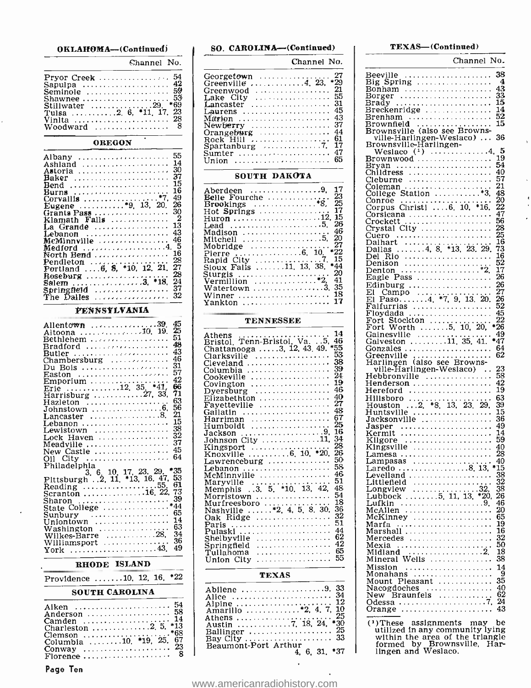| OKLAHOMA—(Continued) |  |
|----------------------|--|
|----------------------|--|

Channel No.

| Sapulpa $\dots$ 42<br>Seminole  59<br>Shawnee  53<br>Stillwater 29. *69<br>Tulsa 2 6, *11 17 23<br>Vinlta  28<br>Woodward <i>.</i> 8 |  |  |
|--------------------------------------------------------------------------------------------------------------------------------------|--|--|
|                                                                                                                                      |  |  |
|                                                                                                                                      |  |  |
|                                                                                                                                      |  |  |
|                                                                                                                                      |  |  |
|                                                                                                                                      |  |  |
|                                                                                                                                      |  |  |

#### OREGON

| Albany <i></i> 55                                   |  |
|-----------------------------------------------------|--|
| Ashland  14                                         |  |
|                                                     |  |
| Baker  37                                           |  |
| Bend  15                                            |  |
| Burns  16                                           |  |
| 26                                                  |  |
| Eugene *9, 13, 20.                                  |  |
| Grants Pass 30<br>$\mathbf{2}$                      |  |
| Klamath Falls                                       |  |
| Lebanon  43                                         |  |
| $MeM$ innville $\ldots \ldots \ldots \ldots 46$     |  |
| Medford <i></i> 4.5                                 |  |
| North Bend 16                                       |  |
| -28<br>Pendleton                                    |  |
| Portland 6, 8, *10, 12, 21, 27                      |  |
| 28<br>Roseburg <i></i> .                            |  |
| Salem $\ldots$ , 3, *18, 24                         |  |
| Springfield $\ldots \ldots \ldots \ldots \ldots 37$ |  |
| The Dalles  32                                      |  |
|                                                     |  |

#### PENNSYLVANIA

| 45                                                 |  |
|----------------------------------------------------|--|
| Allentown 39.<br>25                                |  |
| Altoona  10, 19.<br>-51                            |  |
| Bethlehem                                          |  |
| Bradford  48                                       |  |
| Butler  43                                         |  |
|                                                    |  |
| Du Bois  31                                        |  |
|                                                    |  |
|                                                    |  |
|                                                    |  |
|                                                    |  |
| 63<br>$\texttt{Hazleton}$                          |  |
| 56                                                 |  |
|                                                    |  |
|                                                    |  |
| Lewistown  38                                      |  |
|                                                    |  |
|                                                    |  |
|                                                    |  |
| New Castle  45                                     |  |
| 011 City<br>Philadelphia                           |  |
|                                                    |  |
| *35<br>$3.6$ 10, 17, 23, 29,                       |  |
| Pittsburgh . 2, 11, *13, 16, 47, 53                |  |
| 61<br>Reading $\dots \dots \dots \dots \dots 55$ . |  |
| Scranton 16, 22, 73                                |  |
| 39<br>Sharon                                       |  |
|                                                    |  |
| $S$ unbury $\cdots$                                |  |
| Uniontown  14                                      |  |
| Washington $\cdots$ $\frac{63}{2}$                 |  |
| Wilkes-Barre 28, 34                                |  |
|                                                    |  |
| York  43, 49                                       |  |
|                                                    |  |

#### RHODE ISLAND

| Providence 10, 12, 16, *22 |  |  |  |
|----------------------------|--|--|--|
|                            |  |  |  |

#### SOUTH CAROLINA

| Anderson  58             |  |
|--------------------------|--|
| Camden  14               |  |
|                          |  |
| Columbia 10, *19, 25, 67 |  |
|                          |  |
|                          |  |

Page Ten

| Channel No.                                                                                                                                                           |                    |
|-----------------------------------------------------------------------------------------------------------------------------------------------------------------------|--------------------|
|                                                                                                                                                                       |                    |
| $\frac{27}{29}$<br>Georgetown<br>Greenville<br>.<br>$\ldots \ldots 4$ , 23,                                                                                           | в<br>$\mathbf{B}$  |
|                                                                                                                                                                       | в                  |
| Greenwood<br>Lake City<br>Lancaster<br>$\alpha$ is a second order                                                                                                     | Ē١                 |
| $\frac{55}{31}$<br>.ancaster<br>I                                                                                                                                     | Bı                 |
| 45<br>Laurens .                                                                                                                                                       | $\mathbf{\bar{B}}$ |
| 43<br>Marion                                                                                                                                                          | Bı                 |
| Newberry<br>Ors<br>з                                                                                                                                                  | Ēı                 |
| Orangeburg<br>Rock Hill<br>44                                                                                                                                         | B                  |
| 61<br>17<br>47<br>$\dot{\vec{z}}$                                                                                                                                     | в                  |
| Spartanburg<br>Sumter                                                                                                                                                 |                    |
| .<br>65                                                                                                                                                               |                    |
| Union<br>.                                                                                                                                                            | Bi<br>Bi<br>Cl     |
| SOUTH DAKOTA                                                                                                                                                          |                    |
| 17<br>.9,<br>Aberdeen                                                                                                                                                 | i<br>Si            |
| 23<br>Fourche<br>Belle                                                                                                                                                |                    |
| $\ddot{\mathcal{E}}$                                                                                                                                                  |                    |
| Bene<br>Brookings<br>Hot Springs<br>7                                                                                                                                 |                    |
| $\ldots$ 12.<br>į.<br>$_{\rm{Huron}}$                                                                                                                                 |                    |
| 26<br>.5.<br>T<br>ead                                                                                                                                                 |                    |
| 46<br>Madison<br>$\vdots$                                                                                                                                             |                    |
| u.son<br>Mitchell :<br>Mohni<br>$_{20}$<br>27                                                                                                                         |                    |
| $\ldots \ldots \ldots$<br>Mobridge<br>*22                                                                                                                             | Ć                  |
| $\frac{10}{7}$<br>15                                                                                                                                                  |                    |
| 38.<br>*44                                                                                                                                                            | €                  |
| $2\bar{0}$                                                                                                                                                            | D                  |
| $\begin{array}{c} \dots & 2 \\ \dots & 3 \end{array}$<br>Vermillion<br>Wetter<br>41                                                                                   | E                  |
| Watertown<br>$3\overline{5}$                                                                                                                                          | E<br>E             |
|                                                                                                                                                                       |                    |
| Winner<br>Yankton                                                                                                                                                     |                    |
|                                                                                                                                                                       | E<br>F<br>F        |
| <b>TENNESSEE</b>                                                                                                                                                      | F                  |
| 14<br>Athens                                                                                                                                                          | FGGGGH             |
| Athens<br>Bristol, Tenn-Bristol, Va. 5,<br>Chattanooga 3, 12, 43, 49.<br>Clarksville<br>46                                                                            |                    |
| $^{*55}_{53}$                                                                                                                                                         |                    |
|                                                                                                                                                                       |                    |
| Charlenooga<br>Clarksville<br>Cleveland<br>Columbia<br>$\frac{38}{39}$<br>$\frac{39}{24}$<br>.                                                                        |                    |
| olumbia<br>Cookeville                                                                                                                                                 | н                  |
| ī9<br>covington                                                                                                                                                       |                    |
| Covington<br>Dyersburg<br>Elizabethton<br>Fayetteville<br>46                                                                                                          | H<br>H             |
| 1.1.1.1.1.1                                                                                                                                                           | H                  |
| $\frac{40}{27}$                                                                                                                                                       | н                  |
| 48                                                                                                                                                                    | н                  |
| $\frac{67}{6}$                                                                                                                                                        |                    |
| $_{\rm 16}^{\rm 25}$                                                                                                                                                  |                    |
| Gallatin<br>Harriman<br>Humboldt<br>Jackson<br>Johnson City<br>Vingson City<br>Humson City<br>Humson City<br>Humson City<br>Humson City<br>Humson City<br>Humson City | Ja<br>JaK<br>KK    |
| $\frac{1}{28}$                                                                                                                                                        |                    |
| $\bar{2}\bar{6}$                                                                                                                                                      |                    |
| 50<br>Lawrenceburg                                                                                                                                                    | L<br>L             |
| $\tilde{\rm s}$ 8                                                                                                                                                     | L                  |
| 46                                                                                                                                                                    |                    |
| 51                                                                                                                                                                    | L                  |
| Lebanon<br>McMinnville<br>Maryville<br>Memphis 3.5, *10, 13, 42,<br>Morristown<br>48                                                                                  | L                  |
| 54<br>Morristown<br>Murfreesboro<br>Nashville                                                                                                                         | T                  |
| 18<br>$\vdots$<br>$i_2$<br>$\dot{\mathbf{g}}$<br>$\mathbf{\ddot{5}}$                                                                                                  |                    |
| 30.<br><sup>'4,</sup><br>36                                                                                                                                           | M                  |
| $\frac{32}{51}$<br>Oak<br>Ridge                                                                                                                                       | м                  |
| Paris<br>Paris<br>Pulaski<br>Shelbyyille<br>Shelbyyille<br>$\ddot{\phantom{0}}$<br>44                                                                                 | M<br>VI            |
|                                                                                                                                                                       | Μ                  |
| $\frac{62}{42}$<br>Springfield                                                                                                                                        | M                  |
| $6\overline{5}$<br>Tullahoma                                                                                                                                          | M                  |
| 55<br>Union City                                                                                                                                                      | Μ                  |
|                                                                                                                                                                       | M                  |
| <b>TEXAS</b>                                                                                                                                                          |                    |
| 33<br>34<br>.9.<br>Abilene                                                                                                                                            |                    |
| .<br>Alice                                                                                                                                                            |                    |
| Alice<br>Alpine<br>ĭź                                                                                                                                                 |                    |
| 7,<br>$\overline{4}$ .<br>10<br>Amarillo                                                                                                                              |                    |
| 25<br>Athens<br>18,<br>24,<br>$*30$                                                                                                                                   |                    |
| $\ldots \ldots \ldots$<br>Austin<br>25                                                                                                                                |                    |
| Ballinger<br>Bay City<br>33                                                                                                                                           |                    |
| вау City<br>Beaumont-Port Arthur                                                                                                                                      |                    |
| *37<br>31.<br>6,<br>4,                                                                                                                                                |                    |

SO. CAROLINA-(Contínned)

#### TEXAS-(Continued)

| Channel No.                                                                                                                                                                                                                                                                                                                                                                            |  |
|----------------------------------------------------------------------------------------------------------------------------------------------------------------------------------------------------------------------------------------------------------------------------------------------------------------------------------------------------------------------------------------|--|
| 38                                                                                                                                                                                                                                                                                                                                                                                     |  |
| Beeville<br>Big Spring<br>Bonkam<br>Bonger<br>Brackenridge<br>Brenham<br>Brownfield (also see Browns-<br>Brownfield (also see Browns-<br>4                                                                                                                                                                                                                                             |  |
| $\frac{4\bar{3}}{33}$                                                                                                                                                                                                                                                                                                                                                                  |  |
| 15                                                                                                                                                                                                                                                                                                                                                                                     |  |
|                                                                                                                                                                                                                                                                                                                                                                                        |  |
| $\frac{14}{52}$                                                                                                                                                                                                                                                                                                                                                                        |  |
|                                                                                                                                                                                                                                                                                                                                                                                        |  |
|                                                                                                                                                                                                                                                                                                                                                                                        |  |
|                                                                                                                                                                                                                                                                                                                                                                                        |  |
|                                                                                                                                                                                                                                                                                                                                                                                        |  |
|                                                                                                                                                                                                                                                                                                                                                                                        |  |
|                                                                                                                                                                                                                                                                                                                                                                                        |  |
|                                                                                                                                                                                                                                                                                                                                                                                        |  |
|                                                                                                                                                                                                                                                                                                                                                                                        |  |
|                                                                                                                                                                                                                                                                                                                                                                                        |  |
|                                                                                                                                                                                                                                                                                                                                                                                        |  |
|                                                                                                                                                                                                                                                                                                                                                                                        |  |
|                                                                                                                                                                                                                                                                                                                                                                                        |  |
|                                                                                                                                                                                                                                                                                                                                                                                        |  |
|                                                                                                                                                                                                                                                                                                                                                                                        |  |
|                                                                                                                                                                                                                                                                                                                                                                                        |  |
|                                                                                                                                                                                                                                                                                                                                                                                        |  |
|                                                                                                                                                                                                                                                                                                                                                                                        |  |
|                                                                                                                                                                                                                                                                                                                                                                                        |  |
|                                                                                                                                                                                                                                                                                                                                                                                        |  |
|                                                                                                                                                                                                                                                                                                                                                                                        |  |
|                                                                                                                                                                                                                                                                                                                                                                                        |  |
|                                                                                                                                                                                                                                                                                                                                                                                        |  |
|                                                                                                                                                                                                                                                                                                                                                                                        |  |
|                                                                                                                                                                                                                                                                                                                                                                                        |  |
|                                                                                                                                                                                                                                                                                                                                                                                        |  |
|                                                                                                                                                                                                                                                                                                                                                                                        |  |
|                                                                                                                                                                                                                                                                                                                                                                                        |  |
|                                                                                                                                                                                                                                                                                                                                                                                        |  |
|                                                                                                                                                                                                                                                                                                                                                                                        |  |
|                                                                                                                                                                                                                                                                                                                                                                                        |  |
|                                                                                                                                                                                                                                                                                                                                                                                        |  |
|                                                                                                                                                                                                                                                                                                                                                                                        |  |
|                                                                                                                                                                                                                                                                                                                                                                                        |  |
|                                                                                                                                                                                                                                                                                                                                                                                        |  |
|                                                                                                                                                                                                                                                                                                                                                                                        |  |
|                                                                                                                                                                                                                                                                                                                                                                                        |  |
|                                                                                                                                                                                                                                                                                                                                                                                        |  |
|                                                                                                                                                                                                                                                                                                                                                                                        |  |
|                                                                                                                                                                                                                                                                                                                                                                                        |  |
| $\begin{tabular}{l c c c} \hline \textbf{Brownsville} & 52 & 52 & 54 & 55 \\ \hline \textbf{Brownselle-Harlinger-Weslaco} & 15 & 52 & 54 & 55 \\ \hline \textbf{Weslaco} & 15 & 54 & 55 & 57 & 57 \\ \hline \textbf{Weslaco} & 15 & 57 & 57 & 57 & 57 \\ \hline \textbf{Cleburne} & 15 & 57 & 57 & 57 & 57 \\ \hline \textbf{Cleburne} & 15 & 57 & 57 & 57 & 58 \\ \hline \textbf{Cle$ |  |
|                                                                                                                                                                                                                                                                                                                                                                                        |  |
|                                                                                                                                                                                                                                                                                                                                                                                        |  |
|                                                                                                                                                                                                                                                                                                                                                                                        |  |
|                                                                                                                                                                                                                                                                                                                                                                                        |  |
|                                                                                                                                                                                                                                                                                                                                                                                        |  |
|                                                                                                                                                                                                                                                                                                                                                                                        |  |
|                                                                                                                                                                                                                                                                                                                                                                                        |  |
|                                                                                                                                                                                                                                                                                                                                                                                        |  |
| 9                                                                                                                                                                                                                                                                                                                                                                                      |  |
| 35                                                                                                                                                                                                                                                                                                                                                                                     |  |
| $\frac{40}{62}$                                                                                                                                                                                                                                                                                                                                                                        |  |
| Mission<br>Mount Pleasant<br>Mount Pleasant<br>Nacogdoches<br>Nacogdoches<br>Orange<br>Contage<br>Contage<br>Contage<br>24                                                                                                                                                                                                                                                             |  |
|                                                                                                                                                                                                                                                                                                                                                                                        |  |
|                                                                                                                                                                                                                                                                                                                                                                                        |  |
| $(1)$ These<br>assignments<br>may<br>be                                                                                                                                                                                                                                                                                                                                                |  |
| These assignments may be<br>within the area of the triangle<br>within the area of the triangle<br>formed by Brownsville, Har-<br>lingen and Weslaco.                                                                                                                                                                                                                                   |  |
|                                                                                                                                                                                                                                                                                                                                                                                        |  |
|                                                                                                                                                                                                                                                                                                                                                                                        |  |

 $\ddot{\phantom{0}}$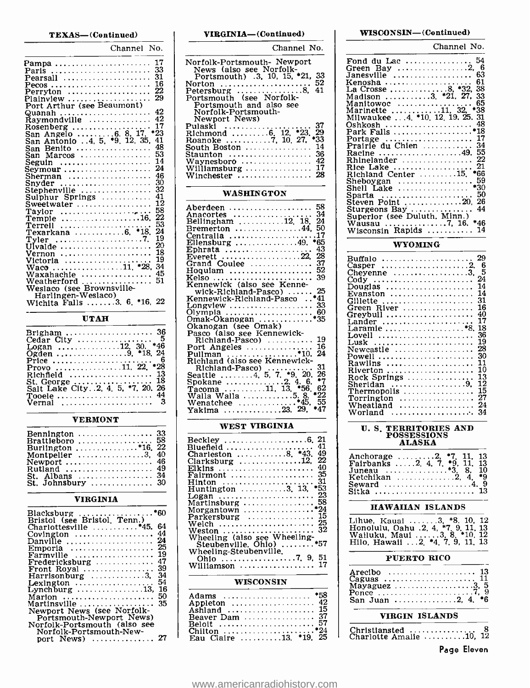#### TEXAS-(Continued)

| Channel No.                                                 |  |
|-------------------------------------------------------------|--|
| 17<br>Pampa                                                 |  |
| 33<br>Paris                                                 |  |
| 31<br>Pearsall                                              |  |
| 16<br>Pecos                                                 |  |
| 22<br>.<br>Perryton                                         |  |
| 29<br>Plainview<br>.                                        |  |
| Port Arthur (see Beaumont)                                  |  |
| 42                                                          |  |
| 42<br>$\ddot{Raymondville}$                                 |  |
| 17                                                          |  |
| Rosenberg<br>San Angelo 6. 8.17.<br>$^{\bullet}23$          |  |
| San Antonio 4, 5, *9, 12, 35,<br>41                         |  |
| 48<br>San Benito                                            |  |
| 53<br>San Marcos                                            |  |
| 14<br>Seguin                                                |  |
| 24                                                          |  |
| 46<br>Sherman                                               |  |
| 30<br>Snvder                                                |  |
| 32<br>Stephenville<br>.                                     |  |
| 41<br>Sulphur Springs                                       |  |
| 12<br>Sweetwater                                            |  |
| 58<br>Taylor $\ldots \ldots \ldots \ldots \ldots$           |  |
| 22<br>Temple $\ldots \ldots \ldots \ldots \ldots \ldots 16$ |  |
| 53<br>Terrell                                               |  |
| *18.<br>24                                                  |  |
| 19<br>Tyler                                                 |  |
| 20<br>Ulvalde                                               |  |
| 18<br>Vernon                                                |  |
| 19<br>Victoria                                              |  |
| $\ldots \ldots \ldots \ldots 11$ . *28.<br>34<br>Waco       |  |
| 45<br>Waxahachie<br>51                                      |  |
| Weatherford<br>.                                            |  |
| Weslaco (see Brownsville-                                   |  |
| Harlingen-Weslaco)                                          |  |
| Wichita Falls 3. 6. *16. 22                                 |  |

UTAH

| Cedar City  5                                  |  |
|------------------------------------------------|--|
| $*46$<br>Logan 12. 30.                         |  |
| Ogden 9. *18. 24                               |  |
| - 6<br>Price<br>Provo 11. 22. $*28$            |  |
|                                                |  |
| St. George $\dots\dots\dots\dots\dots\dots$ 18 |  |
| Salt Lake City. 2, 4, 5, *7, 20, 26            |  |
| Tooele  44                                     |  |
| Vernal                                         |  |

#### VERMONT

| Bennington $\ldots \ldots \ldots \ldots \ldots 33$<br>Brattleboro  58 |  |
|-----------------------------------------------------------------------|--|
|                                                                       |  |
| Burlington *16. 22                                                    |  |
| Montpelier $\ldots \ldots \ldots \ldots 3$ , 40                       |  |
| Newport  46                                                           |  |
| Rutland  49                                                           |  |
| St. Albans  34                                                        |  |
| St. Johnsbury  30                                                     |  |

#### VIRGINIA

| Blacksburg *60<br>Bristol (see Bristol, Tenn.)       |
|------------------------------------------------------|
|                                                      |
| 64                                                   |
| 44<br>Covington $\dots\dots\dots\dots\dots\dots$     |
| 24<br>Danville                                       |
|                                                      |
| 19<br>Farmville                                      |
| 47<br>$Fredericksburg \ldots \ldots \ldots$          |
| 39<br>Front Royal                                    |
| 34                                                   |
| 54<br>Lexington $\dots\dots\dots\dots\dots\dots$     |
| 16<br>Lynchburg $\dots \dots \dots \dots \dots 13$ , |
| 50<br>Marion $\ldots \ldots \ldots \ldots \ldots$    |
| 35<br>Martinsville $\ldots \ldots \ldots \ldots$     |
| Newport News (see Norfolk-                           |
| Portsmouth-Newport News)                             |
| Norfolk-Portsmouth (also see                         |
| Norfolk-Portsmouth-New-                              |
| port News)  27                                       |

VIRGINIA- (Continued)

| Channel No.                                                                                                                                                                                                                                                                                                                                                                            |
|----------------------------------------------------------------------------------------------------------------------------------------------------------------------------------------------------------------------------------------------------------------------------------------------------------------------------------------------------------------------------------------|
| Norfolk-Portsmouth- Newport<br>News (also see Norfolk-<br>Portsmouth) .3, 10, 15, *21,<br>33<br>52<br>Norton<br>41<br>Petersburg $\ldots \ldots \ldots \ldots 8$<br>Portsmouth (see Norfolk-<br>Portsmouth and also see<br>Norfolk-Portsmouth-<br>Newport News)<br>37<br>Pulaski<br>Richmond 6, 12, *23.<br>29<br>•33<br>Roanoke 7, 10, 27.<br>14<br>South Boston<br>36<br>$Sta$ unton |
| 42<br>Waynesboro<br>17<br>Williamsburg<br>28<br>Winchester                                                                                                                                                                                                                                                                                                                             |

#### WASHINGTON

| Aberdeen  58                                     | ē |
|--------------------------------------------------|---|
|                                                  |   |
|                                                  |   |
| Bremerton 44, 50                                 |   |
| Centralia 17                                     |   |
| Ellensburg 49. $*65$                             |   |
| 43<br>Ephrata                                    |   |
| Everett 22. 28                                   |   |
| Grand Coulee  37                                 |   |
| Hoquiam  52                                      |   |
| Kelso  39                                        |   |
| Kennewick (also see Kenne-                       |   |
| wick-Richland-Pasco)  25                         |   |
| Kennewick-Richland-Pasco*41                      |   |
| Longview $\dots\dots\dots\dots\dots\dots$ 33     |   |
| Olympia  60                                      |   |
|                                                  |   |
| Okanogan (see Omak)                              |   |
| Pasco (also see Kennewick-                       |   |
| $Richard-Pasco)$ 19                              |   |
| 16<br>Port Angeles $\ldots \ldots \ldots \ldots$ |   |
|                                                  |   |
| Pullman *10. 24<br>Richland (also see Kennewick- |   |
| 31<br>Richland-Pasco)                            |   |
| Seattle 4, 5, 7, *9, 20.<br>26                   |   |
| •7                                               |   |
| 62                                               |   |
| Walla Walla 5.8. *22                             |   |
| 55                                               |   |
| Yakima 23. 29,<br>*47                            |   |
|                                                  |   |

#### WEST VIRGINIA

| 41<br>Bluefield                                                 |  |
|-----------------------------------------------------------------|--|
| Charleston 8. *43.<br>49                                        |  |
| 22                                                              |  |
| Clarksburg 12.<br>40                                            |  |
| Elkins                                                          |  |
| Fairmont  35                                                    |  |
| -31<br>$Hinton \dots \dots \dots \dots \dots \dots \dots \dots$ |  |
| Huntington 3, 13, *53                                           |  |
| -23<br>Logan                                                    |  |
| Martinsburg  58                                                 |  |
| Morgantown $\ldots \ldots \ldots \ldots \ldots$ *24             |  |
| Parkersburg  15                                                 |  |
| Welch  25                                                       |  |
| Weston  32                                                      |  |
| Wheeling (also see Wheeling-                                    |  |
| Steubenville, Ohio) *57                                         |  |
| Wheeling-Steubenville.                                          |  |
|                                                                 |  |
|                                                                 |  |
| Williamson $\ldots \ldots \ldots \ldots \ldots 17$              |  |

#### WISCONSIN

| Adams  *58                                   |  | Š |
|----------------------------------------------|--|---|
| Appleton $\dots\dots\dots\dots\dots\dots$ 42 |  |   |
| Ashland  15                                  |  |   |
| Beaver Dam  37                               |  |   |
| Beloit  57                                   |  |   |
| Chilton *24                                  |  |   |
| Eau Claire 13. *19. 25                       |  |   |
|                                              |  |   |

#### WISCONSIN- (Continued)

| Channel No.                                                                                                                                                                                                                                                                                                                                                                                                                                                                                 |  |
|---------------------------------------------------------------------------------------------------------------------------------------------------------------------------------------------------------------------------------------------------------------------------------------------------------------------------------------------------------------------------------------------------------------------------------------------------------------------------------------------|--|
| Fond du Lac  54<br>6<br>63<br>61<br>Kenosha $\ldots$ $8, *32$ .<br>La Crosse $\ldots$ $8, *32$ .<br>38<br>Madison 3. *21, 27,<br>33<br>Manitowoc<br>Marinette 11, 32, *38<br>Milwaukee 4, *10, 12, 19, 25, 31<br>48<br>Oshkosh<br>Park Falls *18<br>Portage  17<br>Prairie du Chien<br>34<br>Racine 49. 55<br>Rhinelander  22<br>21<br>Rice Lake<br>Richland Center 15. *66<br>59<br>Sheboygan<br>*30<br>Shell <b>Lake</b><br>50<br>Sparta<br>26<br>Steven Point 20,<br>44<br>Sturgeons Bay |  |
| Superior (see Duluth, Minn.)<br>Wausau 7.16. *46<br>Wisconsin Rapids  14                                                                                                                                                                                                                                                                                                                                                                                                                    |  |

#### WYOMING

| 29<br>Buffalo                                             |
|-----------------------------------------------------------|
| 6                                                         |
| 5<br>Cheyenne $\ldots \ldots \ldots \ldots \ldots 3$ .    |
| 24<br>Cody                                                |
| 14<br>Douglas                                             |
| 14<br>Evanston                                            |
| 31<br>Gillette                                            |
| 16<br>Green River                                         |
| 40<br>Greybull                                            |
| 17<br>Lander                                              |
| 18<br>Laramie *8.                                         |
| 36<br>Lovell                                              |
| 19<br>Lusk                                                |
| 28<br>Newcastle                                           |
| 30                                                        |
| Powell<br>11                                              |
| Rawlins<br>10                                             |
| Riverton $\ldots \ldots \ldots \ldots \ldots$<br>13       |
| Rock Springs<br>12                                        |
| Sheridan 9.<br>15                                         |
| Thermopolis                                               |
| 27<br>$Torrington$                                        |
| 24<br>Wheatland $\ldots$ , $\ldots$ , $\ldots$ , $\ldots$ |
| Worland<br>34                                             |

## U. S. TERRITORIES AND POSSESSIONS ALASKA

| Anchorage 2, $*7$ , 11, 13<br>Fairbanks 2. 4. 7. <b>*9.</b> 11. 13 |  |
|--------------------------------------------------------------------|--|
|                                                                    |  |
| Seward 4. 9<br>Sitka  13                                           |  |

#### HAWAIIAN ISLANDS

| Lihue, Kaual 3, *8, 10, 12          |  |
|-------------------------------------|--|
| Honolulu, Oahu .2, 4, *7, 9, 11, 13 |  |
| Wailuku, Maui 3, 8, *10, 12         |  |
| Hilo, Hawaii  2, *4, 7, 9, 11, 13   |  |

#### PUERTO RICO

| Arecibo  13<br>Caguas  11 |  |  |
|---------------------------|--|--|
| Ponce 7, 9                |  |  |
| San Juan 2. 4. *6         |  |  |

#### VIRGIN ISLANDS

Christiansted <sup>8</sup>Charlotte Amalie 10, 12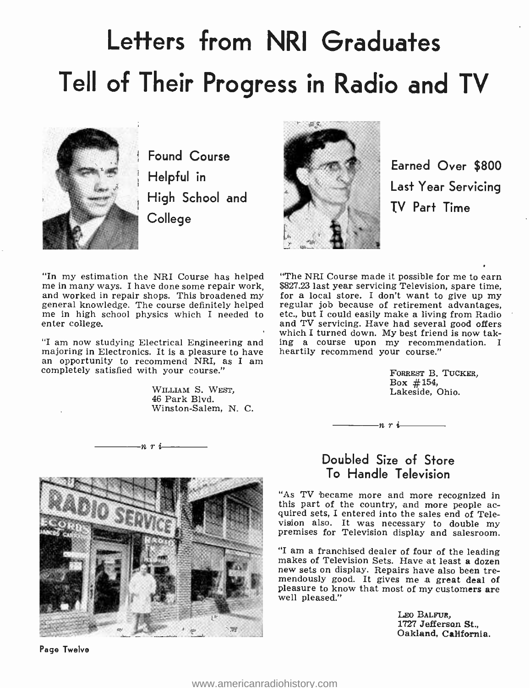# Letters from NRI Graduates Tell of Their Progress in Radio and TV



Found Course Helpful in High School and College



Earned Over \$800 Last Year Servicing TV Part Time

"In my estimation the NRI Course has helped "The NRI Course made it possible for me to earn me in many ways. I have done some repair work, \$827.23 last year servicing Television, spare time, and worked in repair shops. Thi general knowledge. The course definitely helped regular job because of retirement advantages, me in high school physics which I needed to etc., but I could easily make a living from Radio enter college.

"I am now studying Electrical Engineering and majoring in Electronics. It is a pleasure to have an opportunity to recommend NRI, as I am completely satisfied with your course."

 $-n \rightharpoonup i$ 

WILLIAM S. WEST, 46 Park Blvd. Winston -Salem, N. C.

Page Twelve

"The NRI Course made it possible for me to earn \$827.23 last year servicing Television, spare time, etc., but I could easily make a living from Radio and TV servicing. Have had several good offers which I turned down. My best friend is now taking a course upon my recommendation. I heartily recommend your course."

> FORREST B. TUCKER, Box #154, Lakeside, Ohio.



 $n r i$ 

"As TV became more and more recognized in this part of the country, and more people ac- quired sets, I entered into the sales end of Television also. It was necessary to double my premises for Television display and salesroom.

"I am a franchised dealer of four of the leading makes of Television Sets. Have at least a dozen new sets on display. Repairs have also been tremendously good. It gives me a great deal of pleasure to know that most of my customers are well pleased."

> LEO BALFUR, 1727 Jefferson St., Oakland, California.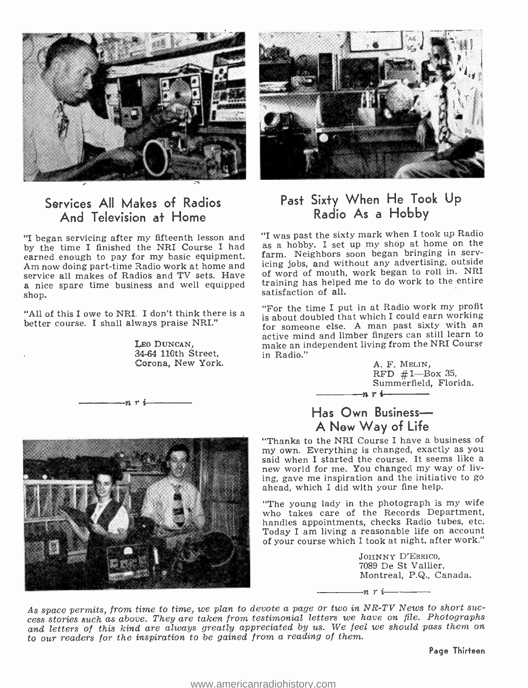

## Services All Makes of Radios And Television at Home

by the time I finished the NRI Course I had as a hobby. I set up my shop at home on the<br>earned enough to pay for my hasic equipment farm. Neighbors soon began bringing in servearned enough to pay for my basic equipment. Am now doing part-time Radio work at home and service all makes of Radios and TV sets. Have a nice spare time business and well equipped shop.

"All of this I owe to NRI. I don't think there is a better course. I shall always praise NRI."

LEO DUNCAN, 34-64 110th Street, Corona, New York.

nri



## Past Sixty When He Took Up Radio As a Hobby

"I began servicing after my fifteenth lesson and "I was past the sixty mark when I took up Radio<br>by the time I finished the NRI Course I had as a hobby. I set up my shop at home on the "I was past the sixty mark when I took up Radio icing jobs, and without any advertising, outside of word of mouth, work began to roll in. NRI training has helped me to do work to the entire satisfaction of all.

> "For the time I put in at Radio work my profit is about doubled that which I could earn working for someone else. A man past sixty with an active mind and limber fingers can still learn to make an independent living from the NRI Course in Radio."

> > A. F. MELIN,  $RFD$  #1-Box 35, Summerfield, Florida.



## Has Own Business-A New Way of Life

"Thanks to the NRI Course I have a business of my own. Everything is changed, exactly as you new world for me. You changed my way of living, gave me inspiration and the initiative to go ahead, which I did with your fine help.

"The young lady in the photograph is my wife who takes care of the Records Department, handles appointments, checks Radio tubes, etc. Today I am living a reasonable life on account of your course which I took at night, after work."

nri

JOHNNY D'ERRICO, 7089 De St Vallier, Montreal, P.Q., Canada.

As space permits, from time to time, we plan to devote a page or two in NR -TV News to short suc- cess stories such as above. They are taken from testimonial letters we have on file. Photographs and letters of this kind are always greatly appreciated by us. We feel we should pass them on to our readers for the inspiration to be gained from a reading of them.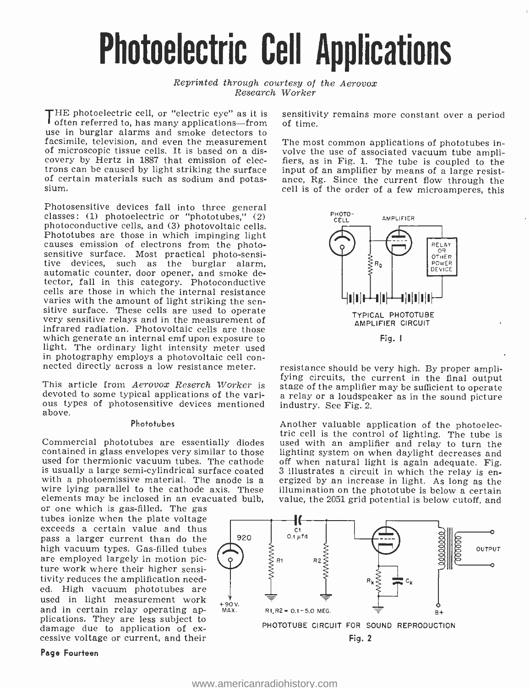# Photoelectric Cell Applications

Reprinted through courtesy of the Aerovox Research Worker

THE photoelectric cell, or "electric eye" as it is sensitiving fitch perform  $\overline{f}$  often referred to, has many applications—from of time. use in burglar alarms and smoke detectors to facsimile, television, and even the measurement of microscopic tissue cells. It is based on a discovery by Hertz in 1887 that emission of eleccovery by Hertz in 1887 that emission of elec-<br>trons can be caused by light striking the surface input of an amplifier by means of a large resistof certain materials such as sodium and potas- sium.

Photosensitive devices fall into three general classes: (1) photoelectric or "phototubes," (2) photoconductive cells, and (3) photovoltaic cells. Phototubes are those in which impinging light causes emission of electrons from the photo-<br>sensitive surface. Most practical photo-sensi-<br>tive devices, such as the burglar alarm, automatic counter, door opener, and smoke detector, fall in this category. Photoconductive cells are those in which the internal resistance<br>varies with the amount of light striking the sensitive surface. These cells are used to operate very sensitive relays and in the measurement of infrared radiation. Photovoltaic cells are those which generate an internal emf upon exposure to light. The ordinary light intensity meter used in photography employs a photovoltaic cell con-<br>nected directly across a low resistance meter. resistance should be very high. By proper ampli-

This article from *Aerovox Reserch Worker* is stage of the amplifier may be sufficient to operate<br>devoted to some typical applications of the vari- a relay or a loudspeaker as in the sound picture devoted to some typical applications of the vari-<br>ous types of photosensitive devices mentioned industry. See Fig. 2. above.

#### Phototubes

contained in glass envelopes very similar to those used for thermionic vacuum tubes. The cathode off when natural light is again adequate. Fig.<br>is usually a large semi-cylindrical surface coated 3 illustrates a circuit in which the relay is enis usually a large semi-cylindrical surface coated<br>with a photoemissive material. The anode is a wire lying parallel to the cathode axis. These

elements may be inclosed in an evacuated bulb,<br>or one which is gas-filled. The gas<br>tubes ionize when the plate voltage<br>exceeds a certain value and thus pass a larger current than do the high vacuum types. Gas-filled tubes<br>are employed largely in motion picture work where their higher sensitivity reduces the amplification needed. High vacuum phototubes are used in light measurement work and in certain relay operating ap-<br>plications. They are less subject to damage due to application of ex-<br>cessive voltage or current, and their

Page Fourteen

sensitivity remains more constant over a period

The most common applications of phototubes involve the use of associated vacuum tube ampliinput of an amplifier by means of a large resistance, Rg. Since the current flow through the cell is of the order of a few microamperes, this



fying circuits, the current in the final output

tric cell is the control of lighting. The tube is<br>Commercial phototubes are essentially diodes used with an amplifier and relay to turn the Another valuable application of the photoelecused with an amplifier and relay to turn the lighting system on when daylight decreases and off when natural light is again adequate. Fig. ergized by an increase in light. As long as the illumination on the phototube is below a certain value, the 2051 grid potential is below cutoff, and

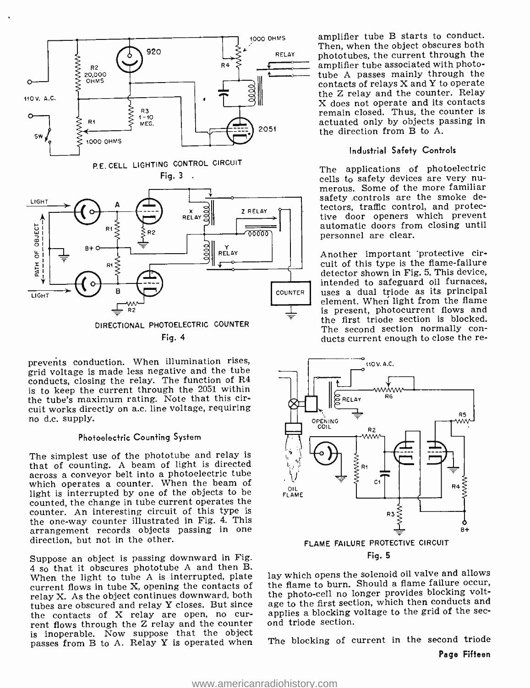

prevents conduction. When illumination rises, grid voltage is made less negative and the tube conducts, closing the relay. The function of R4 is to keep the current through the 2051 within the tube's maximum rating. Note that this circuit works directly on a.c. line voltage, requiring no d.c. supply.

#### Photoelectric Counting System

The simplest use of the phototube and relay is<br>that of counting. A beam of light is directed across a conveyor belt into a photoelectric tube which operates a counter. When the beam of light is interrupted by one of the objects to be counted, the change in tube current operates the counter. An interesting circuit of this type is the one -way counter illustrated in Fig. 4. This arrangement records objects passing in one direction, but not in the other.

Suppose an object is passing downward in Fig. <sup>4</sup>so that it obscures phototube A and then B. When the light to tube A is interrupted, plate current flows in tube X, opening the contacts of relay X. As the object continues downward, both tubes are obscured and relay Y closes. But since the contacts of X relay are open, no cur- applies a blocking rent flows through the Z relay and the counter ond triode section. is inoperable. Now suppose that the object passes from B to A. Relay Y is operated when Th

amplifier tube B starts to conduct. Then, when the object obscures both phototubes, the current through the amplifier tube associated with photo-<br>tube A passes mainly through the contacts of relays X and Y to operate the Z relay and the counter. Relay X does not operate and its contacts remain closed. Thus, the counter is actuated only by objects passing in the direction from B to A.

#### Industrial Safety Controls

The applications of photoelectric cells to safety devices are very nu- merous. Some of the more familiar safety controls are the smoke detectors, traffic control, and protective door openers which prevent automatic doors from closing until personnel are clear.

Another important 'protective circuit of this type is the flame -failure detector shown in Fig. 5. This device, intended to safeguard oil furnaces, uses a dual triode as its principal element. When light from the flame is present, photocurrent flows and the first triode section is blocked.<br>The second section normally conducts current enough to close the re-



lay which opens the solenoid oil valve and allows the flame to burn. Should a flame failure occur, the photo -cell no longer provides blocking voltage to the first section, which then conducts and applies a blocking voltage to the grid of the sec-

The blocking of current in the second triode Page Fifteen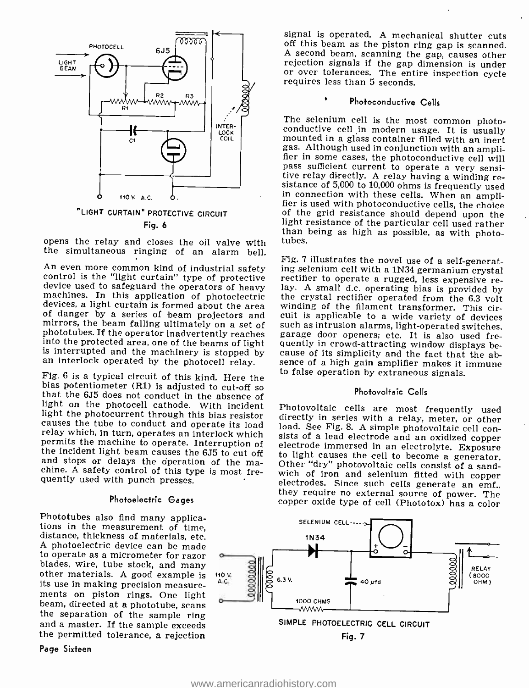

Fig. 6

opens the relay and closes the oil valve with the simultaneous ringing of an alarm bell.<br>the simultaneous ringing of an alarm bell. Fig. 7 illustrates the novel use of a self-generat-

mirrors, the beam falling ultimately on a set of such as intrusion alarms, light-operated switches,<br>phototubes. If the operator inadvertently reaches garage door openers; etc. It is also used fre-<br>into the protected area,

Fig. 6 is a typical circuit of this kind. Here the<br>bias potentiometer (R1) is adjusted to cut-off so<br>that the 6J5 does not conduct in the absence of<br>light on the photocell cathode. With incident<br>light the photoceurrent th

#### Photoelectric Gages

Phototubes also find many applica-<br>tions in the measurement of time,<br>distance, thickness of materials, etc. A photoelectric device can be made to operate as a micrometer for razor blades, wire, tube stock, and many other materials. A good example is its use in making precision measure- ments on piston rings. One light beam, directed at a phototube, scans the separation of the sample ring and a master. If the sample exceeds the permitted tolerance, a rejection

Page Sixteen

signal is operated. A mechanical shutter cuts off this beam as the piston ring gap is scanned. <sup>A</sup>second beam, scanning the gap, causes other rejection signals if the gap dimension is under or over tolerances. The entire inspection cycle requires less than 5 seconds.

#### Photoconductive Cells

The selenium cell is the most common photo- conductive cell in modern usage. It is usually mounted in a glass container filled with an inert gas. Although used in conjunction with an ampli- fier in some cases, the photoconductive cell will pass sufficient current to operate a very sensi-<br>tive relay directly. A relay having a winding re-<br>sistance of 5,000 to 10,000 ohms is frequently used<br>in connection with these cells. When an amplifier is used with photoconductive cells, the choice<br>of the grid resistance should depend upon the<br>light resistance of the particular cell used rather

An even more common kind of industrial safety ing selenium cell with a 1N34 germanium crystal<br>control is the "light curtain" type of protective rectifier to operate a rugged, less expensive re-<br>divide used to safeguard the an interlock operated by the photocell relay. Sence of a high gain amplifier makes it immune ing selenium cell with a 1N34 germanium crystal cause of its simplicity and the fact that the abto false operation by extraneous signals.

#### Photovoltaic Cells

Photovoltaic cells are most frequently used<br>directly in series with a relay, meter, or other<br>load. See Fig. 8. A simple photovoltaic cell con-<br>sists of a lead electrode and an oxidized copper<br>electrode immersed in an elect copper oxide type of cell (Phototox) has a color

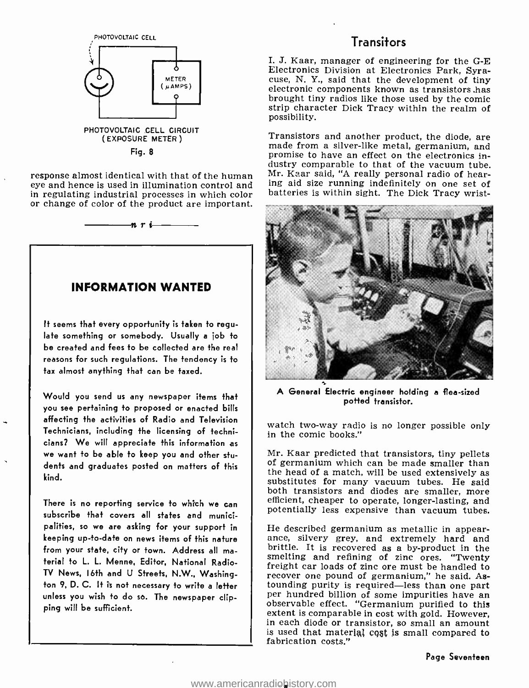

Fig. 8

response almost identical with that of the human eye and hence is used in illumination control and in regulating industrial processes in which color or change of color of the product are important.

 $n r$  i  $\overline{\phantom{a}}$ 

### INFORMATION WANTED

It seems that every opportunity is taken to regulate something or somebody. Usually a job to be created and fees to be collected are the real reasons for such regulations. The tendency is to tax almost anything that can be taxed.

Would you send us any newspaper items that you see pertaining to proposed or enacted bills affecting the activities of Radio and Television Technicians, including the licensing of technicians? We will appreciate this information as we want to be able to keep you and other students and graduates posted on matters of this kind.

There is no reporting service to which we can subscribe that covers all states and municipalities, so we are asking for your support in keeping up -to -date on news items of this nature from your state, city or town. Address all ma terial to L. L. Menne, Editor, National Radio-TV News, 16th and U Streets, N.W., Washington 9, D. C. It is not necessary to write a letter unless you wish to do so. The newspaper clipping will be sufficient.

### Transitors

I. J. Kaar, manager of engineering for the G-E Electronics Division at Electronics Park, Syraelectronic components known as transistors has brought tiny radios like those used by the comic strip character Dick Tracy within the realm of possibility.

Transistors and another product, the diode, are made from a silver-like metal, germanium, and promise to have an effect on the electronics industry comparable to that of the vacuum tube. Mr. Kaar said, "A really personal radio of hearing aid size running indefinitely on one set of batteries is within sight. The Dick Tracy wrist-



A General Electric engineer holding a flea -sized potted transistor.

watch two-way radio is no longer possible only in the comic books."

Mr. Kaar predicted that transistors, tiny pellets of germanium which can be made smaller than the head of a match, will be used extensively as substitutes for many vacuum tubes. He said both transistors and diodes are smaller, more efficient, cheaper to operate, longer -lasting, and efficient, cheaper to operate, longer-lasting, and<br>potentially less expensive than vacuum tubes.

He described germanium as metallic in appearance, silvery grey, and extremely hard and brittle. It is recovered as a by-product in the smelting and refining of zinc ores. "Twenty freight car loads of zinc ore must be handled to recover one pound of germanium," he said. Astounding purity is required—less than one part per hundred billion of some impurities have an observable effect. "Germanium purified to this extent is comparable in cost with gold. However, in each diode or transistor, so small an amount is used that material cost is small compared to fabrication costs."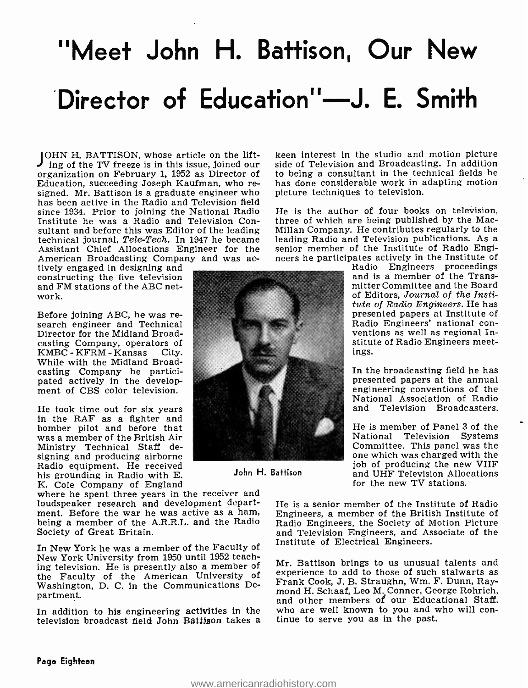# "Meet John H. Battison, Our New Director of Education"-J. E. Smith

JOHN H. BATTISON, whose article on the lift-<br>
ing of the TV freeze is in this issue, joined our<br>
sid organization on February 1, 1952 as Director of signed. Mr. Battison is a graduate engineer who has been active in the Radio and Television field since 1934. Prior to joining the National Radio Institute he was a Radio and Television Contechnical journal, Tele-Tech. In 1947 he became leading Radio and Television publications. As a<br>Assistant Chief Allocations Engineer for the senior member of the Institute of Radio Engi-Assistant Chief Allocations Engineer for the American Broadcasting Company and was ac-<br>tively engaged in designing and

constructing the five television and FM stations of the ABC network.

Before joining ABC, he was re- search engineer and Technical Director for the Midland Broadcasting Company, operators of<br>KMBC - KFRM - Kansas City.  $KMBC - KFRM - Kansas$ While with the Midland Broadcasting Company he partici- pated actively in the development of CBS color television.

He took time out for six years in the RAF as a fighter and bomber pilot and before that was a member of the British Air Ministry Technical Staff designing and producing airborne Radio equipment. He received his grounding in Radio with E.<br>K. Cole Company of England

where he spent three years in the receiver and loudspeaker research and development department. Before the war he was active as a ham, being a member of the A.R.R.L. and the Radio Society of Great Britain.

In New York he was a member of the Faculty of New York University from 1950 until 1952 teaching television. He is presently also a member of the Faculty of the American University of experience to add to those of such stationarts as<br>Weshington, D. C. in the Communications De. Frank Cook, J. B. Straughn, Wm. F. Dunn, Ray-Washington, D. C. in the Communications Department.

In addition to his engineering activities in the who are well known to you and w<br>television broadcast field John Battison takes a tinue to serve you as in the past. television broadcast field John Battison takes a

keen interest in the studio and motion picture side of Television and Broadcasting. In addition to being a consultant in the technical fields he has done considerable work in adapting motion picture techniques to television.

He is the author of four books on television, three of which are being published by the Mac-Millan Company. He contributes regularly to the leading Radio and Television publications. As a neers he participates actively in the Institute of

Radio Engineers proceedings and is a member of the Transmitter Committee and the Board of Editors, Journal of the Institute of Radio Engineers. He has presented papers at Institute of<br>Radio Engineers' national conventions as well as regional Institute of Radio Engineers meetings.

In the broadcasting field he has presented papers at the annual engineering conventions of the National Association of Radio and Television Broadcasters.

He is member of Panel 3 of the<br>National Television Systems Committee. This panel was the<br>one which was charged with the job of producing the new VHF and UHF Television Allocations for the new TV stations.

He is a senior member of the Institute of Radio Engineers, a member of the British Institute of Radio Engineers, the Society of Motion Picture and Television Engineers, and Associate of the Institute of Electrical Engineers.

Mr. Battison brings to us unusual talents and experience to add to those of such stalwarts as mond H. Schaaf, Leo M. Conner, George Rohrich, and other members of our Educational Staff, who are well known to you and who will con-



John H. Battison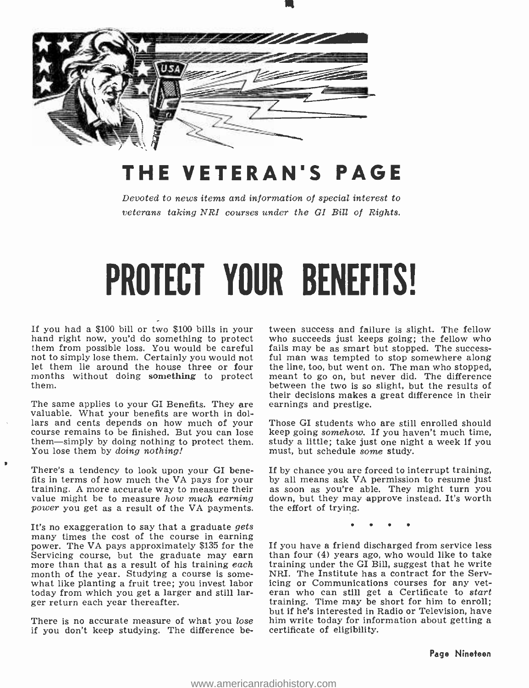

## THE VETERAN'S PAGE

Devoted to news items and information of special interest to veterans taking NRI courses under the GI Bill of Rights.

# PROTECT YOUR BENEFITS!

If you had a \$100 bill or two \$100 bills in your tween success and failure is slight. The fellow hand right now, you'd do something to protect who succeeds just keeps going; the fellow who them from possible loss. You woul not to simply lose them. Certainly you would not ful man was tempted to stop somewhere along<br>let them lie around the house three or four the line, too, but went on. The man who stopped, let them lie around the house three or four months without doing something to protect them.

The same applies to your GI Benefits. They are valuable. What your benefits are worth in dollars and cents depends on how much of your course remains to be finished. But you can lose them-simply by doing nothing to protect them. You lose them by doing nothing!

There's a tendency to look upon your GI bene-<br>fits in terms of how much the VA pays for your fits in terms of how much the VA pays for your by all means ask VA permission to resume just training. A more accurate way to measure their as soon as you're able. They might turn you value might be to measure how much earning power you get as a result of the VA payments.

It's no exaggeration to say that a graduate gets many times the cost of the course in earning power. The VA pays approximately \$135 for the Servicing course, but the graduate may earn more than that as a result of his training each month of the year. Studying a course is somewhat like planting a fruit tree; you invest labor icing or Communications courses for any vettoday from which you get a larger and still larger return each year thereafter.

There is no accurate measure of what you *lose* him write today for info<br>if you don't keep studying. The difference be- certificate of eligibility. if you don't keep studying. The difference be-

tween success and failure is slight. The fellow who succeeds just keeps going; the fellow who fails may be as smart but stopped. The successmeant to go on, but never did. The difference between the two is so slight, but the results of their decisions makes a great difference in their earnings and prestige.

Those GI students who are still enrolled should keep going somehow. If you haven't much time, study a little; take just one night a week if you must, but schedule some study.

If by chance you are forced to interrupt training, by all means ask VA permission to resume just as soon as you're able. They might turn you down, but they may approve instead. It's worth the effort of trying.

If you have a friend discharged from service less than four (4) years ago, who would like to take training under the GI Bill, suggest that he write NRI. The Institute has a contract for the Serveran who can still get a Certificate to start training. Time may be short for him to enroll; but if he's interested in Radio or Television, have him write today for information about getting a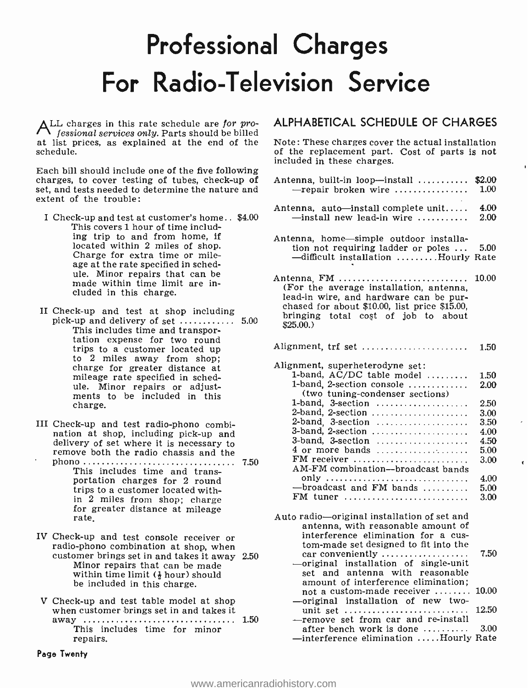# Professional Charges For Radio- Television Service

ALL charges in this rate schedule are for pro-<br>fessional services only. Parts should be billed at list prices, as explained at the end of the schedule.

Each bill should include one of the five following charges, to cover testing of tubes, check-up of set, and tests needed to determine the nature and extent of the trouble:

- I Check -up and test at customer's home.. \$4.00 This covers 1 hour of time including trip to and from home, if<br>located within 2 miles of shop. Charge for extra time or mileage at the rate specified in schedule. Minor repairs that can be made within time limit are included in this charge.
- II Check-up and test at shop including<br>pick-up and delivery of set .............. 5.00<br>This includes time and transportation expense for two round trips to a customer located up to 2 miles away from shop; charge for greater distance at mileage rate specified in schedule. Minor repairs or adjust- ments to be included in this charge.
- III Check-up and test radio-phono combination at shop, including pick-up and<br>delivery of set where it is necessary to remove both the radio chassis and the
- phono 7.50 This includes time and transportation charges for 2 round trips to a customer located within 2 miles from shop; charge for greater distance at mileage rate.
- IV Check -up and test console receiver or radio -phono combination at shop, when customer brings set in and takes it away 2.50 Minor repairs that can be made within time limit  $(\frac{1}{2}$  hour) should be included in this charge.
- V Check -up and test table model at shop when customer brings set in and takes it away 1.50 This includes time for minor repairs.

### ALPHABETICAL SCHEDULE OF CHARGES

Note: These charges cover the actual installation of the replacement part. Cost of parts is not included in these charges.

| Antenna, built-in loop-install<br>$-$ repair broken wire                                                                                                                                             | \$2.00<br>$1.00\,$ |  |
|------------------------------------------------------------------------------------------------------------------------------------------------------------------------------------------------------|--------------------|--|
| Antenna, auto-install complete unit<br>$-$ install new lead-in wire                                                                                                                                  | 4.00<br>2.00       |  |
| Antenna, home-simple outdoor installa-<br>tion not requiring ladder or poles<br>-difficult installation Hourly Rate                                                                                  | 5.00               |  |
| Antenna, FM<br>(For the average installation, antenna,<br>lead-in wire, and hardware can be pur-<br>chased for about \$10.00, list price \$15.00,<br>bringing total cost of job to about<br>\$25.00. | 10.00              |  |
| Alignment, trf set                                                                                                                                                                                   | 1.50               |  |
| Alignment, superheterodyne set:<br>1-band, $AC/DC$ table model<br>1-band, 2-section console                                                                                                          | 1.50<br>2.00       |  |
| (two tuning-condenser sections)                                                                                                                                                                      |                    |  |
| 1-band, 3-section $\ldots$                                                                                                                                                                           | 2.50               |  |
| 2-band, 2-section                                                                                                                                                                                    | $_{\rm 3.00}$      |  |
| 2-band, 3-section                                                                                                                                                                                    | 3.50               |  |
| 3-band, $2$ -section                                                                                                                                                                                 | 4.00               |  |
| 3-band, 3-section                                                                                                                                                                                    | 4.50               |  |
| 4 or more bands                                                                                                                                                                                      | $5.00\,$           |  |
| $FM$ receiver<br>AM-FM combination-broadcast bands                                                                                                                                                   | 3.00               |  |
|                                                                                                                                                                                                      | 4.00               |  |
| -broadcast and FM bands                                                                                                                                                                              | 5.00               |  |
| FM tuner                                                                                                                                                                                             | 3.00               |  |
| Auto radio—original installation of set and<br>antenna, with reasonable amount of<br>interference elimination for a cus-<br>tom-made set designed to fit into the                                    |                    |  |
| car conveniently<br>original installation of single-unit<br>set and antenna with reasonable                                                                                                          | 7.50               |  |
| amount of interference elimination;<br>not a custom-made receiver<br>-original installation of new two-                                                                                              | 10.00              |  |
| unit set<br>-remove set from car and re-install                                                                                                                                                      | 12.50              |  |
| after bench work is done $\dots\dots\dots$<br>-interference elimination Hourly Rate                                                                                                                  | 3.00               |  |

Page Twenty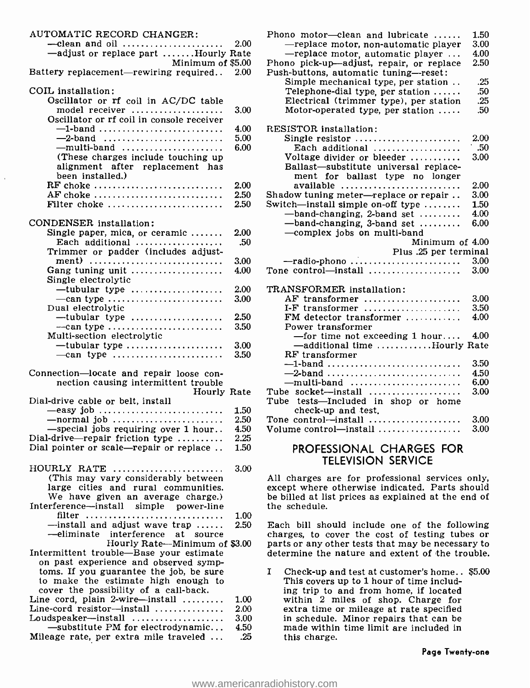| AUTOMATIC RECORD CHANGER:<br>$-\text{clean}$ and oil                                       | 2.00         | Ρŀ       |
|--------------------------------------------------------------------------------------------|--------------|----------|
| -adjust or replace part Hourly Rate                                                        |              |          |
| Minimum of \$5.00<br>Battery replacement-rewiring required                                 | 2.00         | Ph<br>Pu |
| COIL installation:                                                                         |              |          |
| Oscillator or rf coil in AC/DC table<br>model receiver                                     | 3.00         |          |
| Oscillator or rf coil in console receiver                                                  |              |          |
| $-1$ -band                                                                                 | 4.00         | RE       |
| $-2$ -band<br>$-multi-band$                                                                | 5.00<br>6.00 |          |
| (These charges include touching up                                                         |              |          |
| alignment after replacement has                                                            |              |          |
| been installed.)<br>RF choke                                                               | 2.00         |          |
| AF choke                                                                                   | 2.50         | Sh       |
| Filter choke                                                                               | 2.50         | Sw       |
| CONDENSER installation:                                                                    |              |          |
| Single paper, mica, or ceramic $\dots\dots$                                                | 2.00         |          |
| Each additional                                                                            | .50          |          |
| Trimmer or padder (includes adjust-<br>ment)                                               | 3.00         |          |
| Gang tuning unit $\ldots$                                                                  | 4.00         | то       |
| Single electrolytic                                                                        |              |          |
| — tubular type<br>$-$ can type                                                             | 2.00<br>3.00 | TF       |
| Dual electrolytic                                                                          |              |          |
| $-$ tubular type                                                                           | 2.50         |          |
| $-$ can type                                                                               | 3.50         |          |
| Multi-section electrolytic<br>$-$ tubular type                                             | 3.00         |          |
| $-$ can type                                                                               | 3.50         |          |
| Connection-locate and repair loose con-                                                    |              |          |
| nection causing intermittent trouble                                                       |              |          |
| Hourly Rate<br>Dial-drive cable or belt, install                                           |              | Tu       |
| $-$ easy job                                                                               | 1.50         | Τu       |
| $-$ normal job                                                                             | 2.50         | To       |
| -special jobs requiring over 1 hour                                                        | 4.50         | V٥       |
| Dial-drive—repair friction type $\ldots \ldots$<br>Dial pointer or scale—repair or replace | 2.25<br>1.50 |          |
|                                                                                            |              |          |
| HOURLY RATE                                                                                | 3.00         |          |
| (This may vary considerably between)                                                       |              | Al       |
| large cities and rural communities.<br>We have given an average charge.)                   |              | ex<br>be |
| Interference-install simple power-line                                                     |              | th       |
| filter                                                                                     | 1.00         |          |
| -install and adjust wave trap<br>-eliminate interference at source                         | 2.50         | Εε       |
| Hourly Rate-Minimum of \$3.00                                                              |              | ch<br>pa |
| Intermittent trouble-Base your estimate                                                    |              | de       |
| on past experience and observed symp-                                                      |              |          |
| toms. If you guarantee the job, be sure<br>to make the estimate high enough to             |              | 1        |
| cover the possibility of a call-back.                                                      |              |          |
| Line cord, plain 2-wire-install                                                            | 1.00         |          |
| Line-cord resistor-install<br>Loudspeaker-install                                          | 2.00<br>3.00 |          |
| —substitute PM for electrodynamic                                                          | 4.50         |          |
| Mileage rate, per extra mile traveled                                                      | .25          |          |

| Phono motor-clean and lubricate                  | 1.50       |
|--------------------------------------------------|------------|
| -replace motor, non-automatic player             | 3.00       |
| -replace motor, automatic player                 | 4.00       |
| Phono pick-up-adjust, repair, or replace         | 2.50       |
| Push-buttons, automatic tuning-reset:            |            |
| Simple mechanical type, per station              | .25        |
|                                                  | .50        |
| Telephone-dial type, per station                 |            |
| Electrical (trimmer type), per station           | .25<br>.50 |
| Motor-operated type, per station $\ldots$ .      |            |
| RESISTOR installation:                           |            |
| Single resistor                                  | 2.00       |
| Each additional $\ldots, \ldots, \ldots, \ldots$ | .50        |
| Voltage divider or bleeder                       | 3.00       |
| Ballast-substitute universal replace-            |            |
| ment for ballast type no longer                  |            |
| available                                        | 2.00       |
| Shadow tuning meter-replace or repair            | 3.00       |
| Switch-install simple on-off type                | 1.50       |
| -band-changing, 2-band set                       | 4.00       |
| -band-changing, 3-band set                       | 6.00       |
| -complex jobs on multi-band                      |            |
| Minimum of 4.00                                  |            |
| Plus .25 per terminal                            |            |
| $-{\rm radio\text{-}phono}\dots$                 | 3.00       |
| Tone control—install                             | 3.00       |
|                                                  |            |
| TRANSFORMER installation:                        |            |
| AF transformer                                   | 3.00       |
| I-F transformer                                  | 3.50       |
| FM detector transformer                          | 4.00       |
| Power transformer                                |            |
| -for time not exceeding 1 hour                   | 4.00       |
| -additional time Hourly Rate                     |            |
| RF transformer                                   |            |
| $-1$ -band                                       | 3.50       |
| $-2$ -band                                       | 4.50       |
|                                                  | 6.00       |
| Tube socket-install                              | 3.00       |
| Tube tests-Included in shop or home              |            |
| check-up and test.                               |            |
| Tone control-install                             | 3.00       |
|                                                  |            |
| Volume control-install                           | 3.00       |

### PROFESSIONAL CHARGES FOR TELEVISION SERVICE

All charges are for professional services only, except where otherwise indicated. Parts should be billed at list prices as explained at the end of the schedule.

Each bill should include one of the following charges, to cover the cost of testing tubes or parts or any other tests that may be necessary to determine the nature and extent of the trouble.

I Check -up and test at customer's home.. \$5.00 This covers up to 1 hour of time including trip to and from home, if located within 2 miles of shop. Charge for extra time or mileage at rate specified in schedule. Minor repairs that can be made within time limit are included in this charge.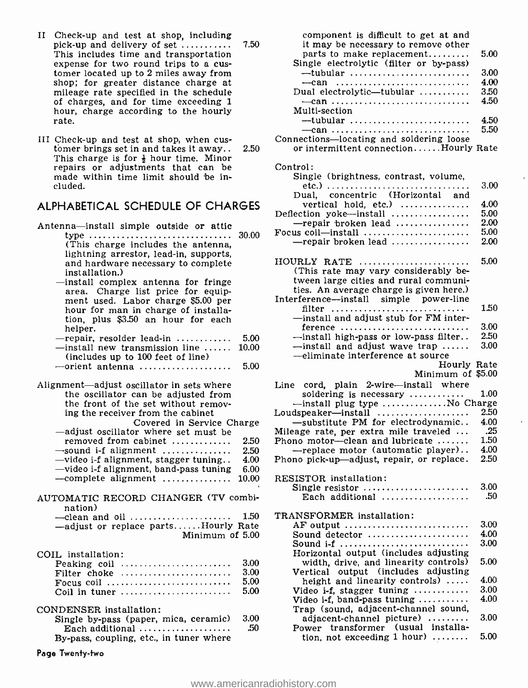II Check -up and test at shop, including pick -up and delivery of set This includes time and transportation expense for two round trips to a cus- tomer located up to 2 miles away from shop; for greater distance charge at mileage rate specified in the schedule of charges, and for time exceeding 1 hour, charge according to the hourly rate.

7.50

III Check -up and test at shop, when cus- tbmer brings set in and takes it away.. 2.50 This charge is for  $\frac{1}{2}$  hour time. Minor repairs or adjustments that can be made within time limit should be included.

### ALPHABETICAL SCHEDULE OF CHARGES

|                                                                                                                                                                                                         | ⊷        |
|---------------------------------------------------------------------------------------------------------------------------------------------------------------------------------------------------------|----------|
| Antenna-install simple outside or attic<br>30.00<br>type                                                                                                                                                | Fc       |
| (This charge includes the antenna,<br>lightning arrestor, lead-in, supports,<br>and hardware necessary to complete<br>installation.)                                                                    | H        |
| -install complex antenna for fringe<br>area. Charge list price for equip-<br>ment used. Labor charge \$5.00 per<br>hour for man in charge of installa-<br>tion, plus \$3.50 an hour for each<br>helper. | In       |
| $-$ repair, resolder lead-in<br>5.00<br>$-$ install new transmission line<br>10.00<br>(includes up to 100 feet of line)                                                                                 |          |
| 5.00<br>$--$ orient antenna                                                                                                                                                                             |          |
| Alignment—adjust oscillator in sets where<br>the oscillator can be adjusted from<br>the front of the set without remov-                                                                                 | Lii      |
| ing the receiver from the cabinet                                                                                                                                                                       | Lo       |
| Covered in Service Charge                                                                                                                                                                               |          |
| -adjust oscillator where set must be<br>removed from cabinet<br>2.50                                                                                                                                    | Mi<br>Ph |
| $-$ sound i-f alignment<br>2.50                                                                                                                                                                         |          |
| -video i-f alignment, stagger tuning<br>4.00                                                                                                                                                            | Ph       |
| -video i-f alignment, band-pass tuning<br>6.00                                                                                                                                                          |          |
| 10.00                                                                                                                                                                                                   | RI       |
| AUTOMATIC RECORD CHANGER (TV combi-<br>nation)                                                                                                                                                          |          |
| 1.50<br>-clean and oil $\dots\dots\dots\dots\dots\dots\dots$                                                                                                                                            | TF       |
| -adjust or replace partsHourly Rate                                                                                                                                                                     |          |
| Minimum of 5.00                                                                                                                                                                                         |          |
| COIL installation:                                                                                                                                                                                      |          |
| 3.00<br>Peaking coil                                                                                                                                                                                    |          |
| 3.00<br>Filter choke                                                                                                                                                                                    |          |
| 5.00<br>Focus coil                                                                                                                                                                                      |          |
| 5.00<br>Coil in tuner                                                                                                                                                                                   |          |
| CONDENSER installation:                                                                                                                                                                                 |          |
| 3.00<br>Single by-pass (paper, mica, ceramic)                                                                                                                                                           |          |
| .50<br>Each additional                                                                                                                                                                                  |          |
| By-pass, coupling, etc., in tuner where                                                                                                                                                                 |          |

Page Twenty -two

| component is difficult to get at and                                                       |              |  |
|--------------------------------------------------------------------------------------------|--------------|--|
| it may be necessary to remove other                                                        |              |  |
| parts to make replacement<br>Single electrolytic (filter or by-pass)                       | 5.00         |  |
| $-$ tubular                                                                                | 3.00         |  |
| $-can$                                                                                     | 4.00         |  |
| Dual electrolytic—tubular $\ldots$                                                         | 3.50         |  |
| $-can$                                                                                     | 4.50         |  |
| Multi-section                                                                              |              |  |
| $-$ tubular<br>$-can$                                                                      | 4.50<br>5.50 |  |
| Connections-locating and soldering loose                                                   |              |  |
| or intermittent connectionHourly Rate                                                      |              |  |
|                                                                                            |              |  |
| Control:                                                                                   |              |  |
| Single (brightness, contrast, volume,                                                      | 3.00         |  |
| concentric (Horizontal and<br>Dual,                                                        |              |  |
| vertical hold, etc.)                                                                       | 4.00         |  |
| Deflection yoke-install                                                                    | 5.00         |  |
| -repair broken lead                                                                        | 2.00<br>5.00 |  |
| Focus coil-install<br>-repair broken lead                                                  | 2.00         |  |
|                                                                                            |              |  |
| HOURLY RATE                                                                                | 5.00         |  |
| (This rate may vary considerably be-                                                       |              |  |
| tween large cities and rural communi-                                                      |              |  |
| ties. An average charge is given here.)<br>Interference-install simple power-line          |              |  |
| filter                                                                                     | 1.50         |  |
| -install and adjust stub for FM inter-                                                     |              |  |
| ference                                                                                    | 3.00         |  |
|                                                                                            |              |  |
| -install high-pass or low-pass filter                                                      | 2.50         |  |
| $\rightarrow$ install and adjust wave trap                                                 | 3.00         |  |
| -eliminate interference at source                                                          |              |  |
| Hourly Rate                                                                                |              |  |
| Minimum of \$5.00                                                                          |              |  |
| Line cord, plain 2-wire-install where<br>soldering is necessary $\ldots$                   | $1.00\,$     |  |
| -install plug type No Charge                                                               |              |  |
| Loudspeaker-install                                                                        | 2.50         |  |
| -substitute PM for electrodynamic                                                          | 4.00         |  |
| Mileage rate, per extra mile traveled<br>Phono motor-clean and lubricate                   | .25<br>1.50  |  |
| --replace motor (automatic player)                                                         | 4.00         |  |
| Phono pick-up-adjust, repair, or replace.                                                  | 2.50         |  |
|                                                                                            |              |  |
| RESISTOR installation:                                                                     |              |  |
| Single resistor<br>Each additional $\ldots, \ldots, \ldots, \ldots$                        | 3.00<br>.50  |  |
|                                                                                            |              |  |
| TRANSFORMER installation:                                                                  |              |  |
| $AF$ output $\ldots \ldots \ldots \ldots \ldots \ldots \ldots \ldots$                      | 3.00         |  |
| Sound detector                                                                             | 4.00<br>3.00 |  |
| Sound i-f                                                                                  |              |  |
| Horizontal output (includes adjusting<br>width, drive, and linearity controls)             | 5.00         |  |
| Vertical output (includes adjusting                                                        |              |  |
| height and linearity controls)                                                             | 4.00         |  |
| Video i-f, stagger tuning $\ldots$                                                         | 3.00<br>4.00 |  |
| Video i-f, band-pass tuning $\ldots \ldots \ldots$<br>Trap (sound, adjacent-channel sound, |              |  |
| adjacent-channel picture)                                                                  | 3.00         |  |
| Power transformer (usual installa-<br>tion, not exceeding 1 hour)                          | 5.00         |  |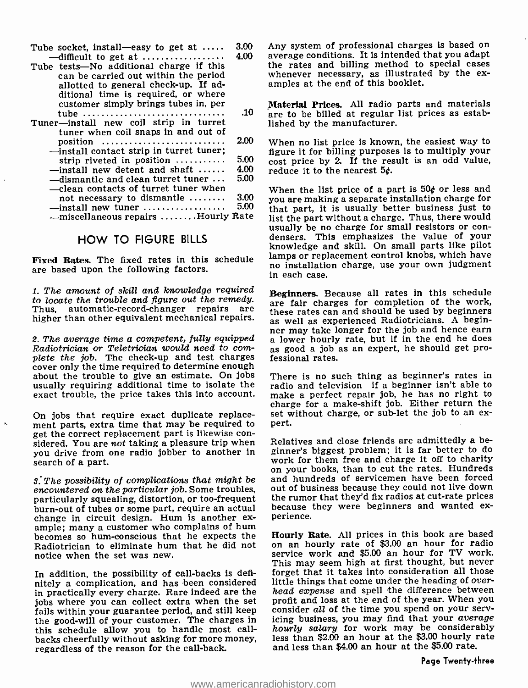| 3.00<br>Tube socket, install—easy to get at $\dots$ .     | An           |
|-----------------------------------------------------------|--------------|
| 4.00<br>$-difficult$ to get at                            | av           |
| Tube tests—No additional charge if this                   | the          |
| can be carried out within the period                      | wh           |
| allotted to general check-up. If ad-                      | an           |
| ditional time is required, or where                       |              |
| customer simply brings tubes in, per                      | $\mathbf{M}$ |
| .10<br>tube                                               | ar           |
| Tuner-install new coil strip in turret                    | lis.         |
| tuner when coil snaps in and out of                       |              |
| 2.00<br>position                                          | W)           |
| -install contact strip in turret tuner:                   | fig          |
| 5.00<br>strip riveted in position $\ldots$                | CO:          |
| 4.00<br>$-$ install new detent and shaft $\,\ldots\ldots$ | re           |
| 5.00<br>-dismantle and clean turret tuner                 |              |
| —clean contacts of turret tuner when                      | W.           |
| 3.00<br>not necessary to dismantle                        | yo           |
| 5.00<br>$-$ install new tuner                             | th:          |
| - miscellaneous repairs  Hourly Rate                      | lis          |

HOW TO FIGURE BILLS and the states. The fixed Rates. The fixed rates in this schedule are based upon the following factors.<br>are based upon the following factors. The following factors. The following factors.

1. The amount of skill and knowledge required Beginners. Because all rates in this schedule to locate the trouble and figure out the remedy.<br>Thus, automatic-record-changer repairs are automatic-record-changer repairs are

plete the job. The check-up and test charges cover only the time required to determine enough about the trouble to give an estimate. On jobs usually requiring additional time to isolate the exact trouble, the price takes this into account.

On jobs that require exact duplicate replacement parts, extra time that may be required to pert.<br>get the correct replacement part is likewise considered. You are not taking a pleasure trip when you drive from one radio jobber to another in search of a part.

3. The possibility of complications that might be encountered on the particular job. Some troubles, particularly squealing, distortion, or too -frequent burn-out of tubes or some part, require an actual because<br>change in circuit design. Hum is another ex- perience. ample; many a customer who complains of hum<br>becomes so hum-conscious that he expects the **Hourly Rate.** All prices in this book are based becomes so hum -conscious that he expects the Radiotrician to eliminate hum that he did not notice when the set was new.

In addition, the possibility of call-backs is definitely a complication, and has been considered little things that come under the heading of over-<br>in practically every charge. Rare indeed are the *head expense* and spell the difference between in practically every charge. Rare indeed are the jobs where you can collect extra when the set profit and loss at the end of the year. When you<br>fails within your guarantee period, and still keep consider all of the time you spend on your servfails within your guarantee period, and still keep the good-will of your customer. The charges in this schedule allow you to handle most callbacks cheerfully without asking for more money, regardless of the reason for the call-back.

Any system of professional charges is based on average conditions. It is intended that you adapt<br>the rates and billing method to special cases whenever necessary, as illustrated by the ex-<br>amples at the end of this booklet.

Material Prices. All radio parts and materials are to be billed at regular list prices as established by the manufacturer.

When no list price is known, the easiest way to figure it for billing purposes is to multiply your cost price by 2. If the result is an odd value, reduce it to the nearest 5¢.

When the list price of a part is 50¢ or less and you are making a separate installation charge for that part, it is usually better business just to list the part without a charge. Thus, there would usually be no charge for small resistors or con- densers. This emphasizes the value of your knowledge and skill. On small parts like pilot lamps or replacement control knobs, which have no installation charge, use your own judgment in each case.

higher than other equivalent mechanical repairs. as well as experienced Radiotricians. A beginner may take longer for the job and hence earn<br>2. The average time a competent, fully equipped<br>Radiotrician or Teletrician would need to com-<br>2. good a job as an expert, he should get proare fair charges for completion of the work, these rates can and should be used by beginners a lower hourly rate, but if in the end he does fessional rates.

> There is no such thing as beginner's rates in radio and television-if a beginner isn't able to make a perfect repair job, he has no right to charge for a make -shift job. Either return the set without charge, or sub-let the job to an ex-

> Relatives and close friends are admittedly a beginner's biggest problem; it is far better to do work for them free and charge it off to charity on your books, than to cut the rates. Hundreds and hundreds of servicemen have been forced out of business because they could not live down the rumor that they'd fix radios at cut-rate prices because they were beginners and wanted ex-

> on an hourly rate of \$3.00 an hour for radio service work and \$5.00 an hour for TV work. This may seem high at first thought, but never forget that it takes into consideration all those little things that come under the heading of overprofit and loss at the end of the year. When you icing business, you may find that your average hourly salary for work may be considerably less than \$2.00 an hour at the \$3.00 hourly rate and less than \$4.00 an hour at the \$5.00 rate.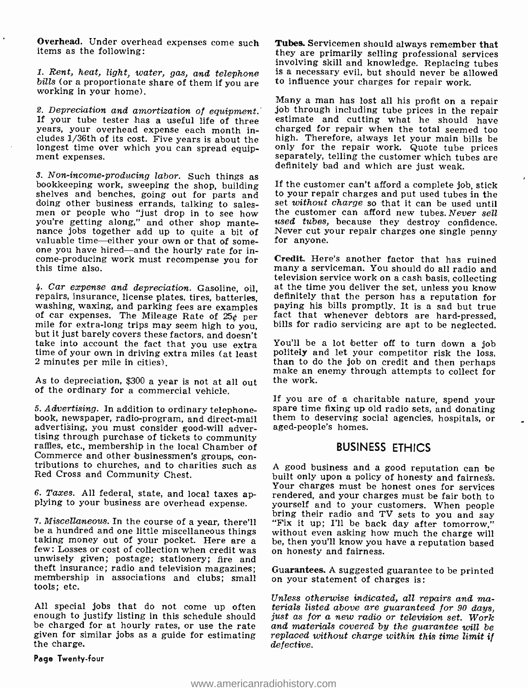Overhead. Under overhead expenses come such items as the following:

1. Rent, heat, light, water, gas, and telephone bills (or a proportionate share of them if you are working in your home).

years, your overhead expense each month includes 1 /36th of its cost. Five years is about the longest time over which you can spread equip- ment expenses.

3. Non-income-producing labor. Such things as<br>bookkeeping work, sweeping the shop, building If the customer can't afford a complete jo<br>shelves and benches, going out for parts and to your repair charges and put used tubes doing other business errands, talking to sales- men or people who "just drop in to see how you're getting along," and other shop mante-<br>nance jobs together add up to quite a bit of Never cut y<br>valuable time—either your own or that of some- for anyone. one you have hired—and the hourly rate for in-<br>come-producing work must recompense you for<br>many a serviceman. You should do all radio and<br>many a serviceman. You should do all radio and this time also.

4. Car expense and depreciation. Gasoline, oil, at the time you deliver the set, unless you know repairs, insurance, license plates, tires, batteries, definitely that the person has a reputation for washing, waxing, and p take into account the fact that you use extra You'll be a lot better off to turn down a job<br>time of your own in driving extra miles (at least politely and let your competitor risk the loss,<br>2 minutes per mile in cities). 2 minutes per mile in cities).

As to depreciation, \$300 a year is not at all out of the ordinary for a commercial vehicle.

advertising, you must consider good-will advertising through purchase of tickets to community raffles, etc., membership in the local Chamber of tributions to churches, and to charities such as Red Cross and Community Chest.

be a hundred and one little miscellaneous things without even asking how much the charge will taking money out of your pocket. Here are a be, then you'll know you have a reputation based few: Losses or cost of collection w theft insurance; radio and television magazines; Guarantees. A suggested guarante membership in associations and clubs; small on your statement of charges is: tools; etc.

All special jobs that do not come up often terials listed above are guaranteed for 90 days, enough to justify listing in this schedule should just as for a new radio or television set. Work be charged for at hourly rates, or use the rate given for similar jobs as a guide for estimating the charge.

Page Twenty -four

Tubes. Servicemen should always remember that they are primarily selling professional services involving skill and knowledge. Replacing tubes is a necessary evil, but should never be allowed to influence your charges for repair work.

2. Depreciation and amortization of equipment. Job through including tube prices in the repair<br>If your tube tester has a useful life of three estimate and cutting what he should have Many a man has lost all his profit on a repair charged for repair when the total seemed too high. Therefore, always let your main bills be only for the repair work. Quote tube prices separately, telling the customer which tubes are

> If the customer can't afford a complete job, stick to your repair charges and put used tubes in the set without charge so that it can be used until the customer can afford new tubes. Never sell used tubes, because they destroy confidence. Never cut your repair charges one single penny

> Credit. Here's another factor that has ruined television service work on a cash basis, collecting definitely that the person has a reputation for fact that whenever debtors are hard-pressed,

> You'll be a lot better off to turn down a job politely and let your competitor risk the loss, than to do the job on credit and then perhaps make an enemy through attempts to collect for the work.

5. Advertising. In addition to ordinary telephone-<br>book, newspaper, radio-program, and direct-mail<br>abook, newspaper, radio-program, and direct-mail<br>abook, newspaper, radio-program, and direct-mail<br>aged-people's homes. If you are of a charitable nature, spend your spare time fixing up old radio sets, and donating

### BUSINESS ETHICS

6. Taxes. All federal, state, and local taxes ap-<br>plying to your business are overhead expense. your self and to your customers. When people 7. Miscellaneous. In the course of a year, there'll "Fix it up; I'll be back day after tomorrow," be a hundred and one little miscellaneous things without even asking how much the charge will <sup>A</sup>good business and a good reputation can be built only upon a policy of honesty and fairness. Your charges must be honest ones for services rendered, and your charges must be fair both to bring their radio and TV sets to you and say be, then you'll know you have a reputation based

Guarantees. A suggested guarantee to be printed

Unless otherwise indicated, all repairs and maand materials covered by the guarantee will be replaced without charge within this time limit if defective.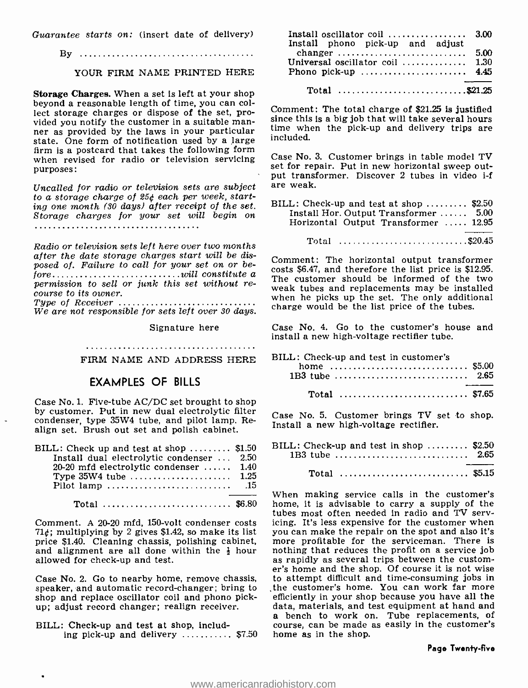Guarantee starts on: (insert date of delivery)

By

#### YOUR FIRM NAME PRINTED HERE

Storage Charges. When a set is left at your shop beyond a reasonable length of time, you can collect storage charges or dispose of the set, pro-<br>vided you notify the customer in a suitable manvided you notify the customer in a suitable man-<br>ner as provided by the laws in your particular<br>ner as provided by the laws in your particular<br>ner as provided by the laws in your particular state. One form of notification used by a large firm is a postcard that takes the following form when revised for radio or television servicing purposes:

Uncalled for radio or television sets are subject to a storage charge of 25¢ each per week, starting one month (30 days) after receipt of the set. Storage charges for your set will begin on

Radio or television sets left here over two months after the date storage charges start will be disposed of. Failure to call for your set on or bewill constitute a junk this set without re-fore permission to sell or course to its owner. Type of Receiver

We are not responsible for sets left over 30 days.

Signature here

FIRM NAME AND ADDRESS HERE

### EXAMPLES OF BILLS

Case No. 1. Five-tube AC/DC set brought to shop by customer. Put in new dual electrolytic filter condenser, type 35W4 tube, and pilot lamp. Realign set. Brush out set and polish cabinet.

| BILL: Check up and test at shop $$1.50$   | R  |
|-------------------------------------------|----|
| Install dual electrolytic condenser  2.50 |    |
| $20-20$ mfd electrolytic condenser  1.40  |    |
|                                           |    |
|                                           |    |
|                                           | ٦Ā |
| Total  \$6.80                             | h  |

Comment. A 20-20 mfd, 150 -volt condenser costs  $71¢$ ; multiplying by 2 gives \$1.42, so make its list you can make the repair on the spot and also it's price \$1.40. Cleaning chassis, polishing cabinet, more profitable for the serviceman. There is price \$1.40. Cleaning chassis, polishing cabinet, and alignment are all done within the  $\frac{1}{2}$  hour in nothing that reduces the profit on a service job allowed for check-up and test. allowed for check-up and test.

Case No. 2. Go to nearby home, remove chassis, speaker, and automatic record-changer; bring to the customer's home. You can work far more shop and replace oscillator coil and phono pick-<br>efficiently in your shop because you have all the shop and replace oscillator coil and phono pickup; adjust record changer; realign receiver.

BILL: Check-up and test at shop, including pick-up and delivery  $\ldots$ ........ \$7.50

| Install oscillator coil $\ldots \ldots \ldots \ldots \ldots$ 3.00  |  |
|--------------------------------------------------------------------|--|
| Install phono pick-up and adjust                                   |  |
|                                                                    |  |
| Universal oscillator coil $\ldots \ldots \ldots \ldots \quad 1.30$ |  |
| Phono pick-up $4.45$                                               |  |
|                                                                    |  |
|                                                                    |  |

Comment: The total charge of  $$21.25$  is justified time when the pick-up and delivery trips are included.

Case No. 3. Customer brings in table model TV set for repair. Put in new horizontal sweep output transformer. Discover 2 tubes in video i-f are weak.

| BILL: Check-up and test at shop  \$2.50 |  |
|-----------------------------------------|--|
| Install Hor. Output Transformer  5.00   |  |
| Horizontal Output Transformer  12.95    |  |
|                                         |  |

Total  $\ldots \ldots \ldots \ldots \ldots \ldots \ldots \ldots \ldots$ \$20.45

Comment: The horizontal output transformer costs \$6.47, and therefore the list price is \$12.95. The customer should be informed of the two weak tubes and replacements may be installed when he picks up the set. The only additional charge would be the list price of the tubes.

Case No. 4. Go to the customer's house and install a new high-voltage rectifier tube.

| BILL: Check-up and test in customer's |  |
|---------------------------------------|--|
| home  \$5.00                          |  |
|                                       |  |
| Total  \$7.65                         |  |

Case No. 5. Customer brings TV set to shop. Install a new high-voltage rectifier.

| BILL: Check-up and test in shop $$2.50$<br>$1B3$ tube | 2.65 |
|-------------------------------------------------------|------|
| Total  \$5.15                                         |      |

When making service calls in the customer's home, it is advisable to carry a supply of the tubes most often needed in radio and TV servicing. It's less expensive for the customer when you can make the repair on the spot and also it's nothing that reduces the profit on a service job er's home and the shop. Of course it is not wise to attempt difficult and time -consuming jobs in the customer's home. You can work far more efficiently in your shop because you have all the a bench to work on. Tube replacements, of course, can be made as easily in the customer's home as in the shop.

#### Page Twenty -five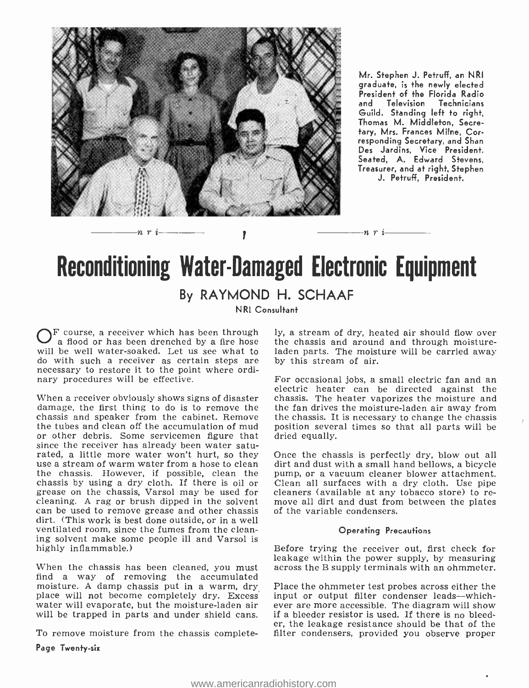

Mr. Stephen J. Petruff, an NRI graduate, is the newly elected President of the Florida Radio<br>and Television Technicians Technicians Guild. Standing left to right, Thomas M. Middleton, Secretary, Mrs. Frances Milne, Corresponding Secretary, and Shan Des Jardins, Vice President. Seated, A. Edward Stevens, Treasurer, and at right, Stephen J. Petruff, President.

## **Reconditioning Water-Damaged Electronic Equipment** By RAYMOND H. SCHAAF

Ì

NRI Consultant

will be well water-soaked. Let us see what to laden parts. The moist do with such a receiver as certain steps are by this stream of air. do with such a receiver as certain steps are necessary to restore it to the point where ordinary procedures will be effective.

n r i

When a receiver obviously shows signs of disaster damage, the first thing to do is to remove the chassis and speaker from the cabinet. Remove the tubes and clean off the accumulation of mud or other debris. Some servicemen figure that since the receiver has already been water saturated, a little more water won't hurt, so they use a stream of warm water from a hose to clean the chassis. However, if possible, clean the pump, or a vacuum cleaner blower attachment.<br>chassis by using a dry cloth. If there is oil or Clean all surfaces with a dry cloth. Use pipe chassis by using a dry cloth. If there is oil or Clean all surfaces with a dry cloth. Use pipe<br>grease on the chassis, Varsol may be used for cleaners (available at any tobacco store) to re-<br>cleaning. A rag or brush dipped cleaning. A rag or brush dipped in the solvent move all dirt and dust from can be used to remove grease and other chassis of the variable condensers. dirt. (This work is best done outside, or in a well ventilated room, since the fumes from the cleaning solvent make some people ill and Varsol is highly inflammable.)

find a way of removing the accumulated moisture. A damp chassis put in a warm, dry Place the ohmmeter test probes across either the place will not become completely dry. Excess input or output filter condenser leads—which-water will evaporate, but the moisturewater will evaporate, but the moisture-laden air will be trapped in parts and under shield cans.

To remove moisture from the chassis complete-

Page Twenty-six

 $F$  course, a receiver which has been through ly, a stream of dry, heated air should flow over a flood or has been drenched by a fire hose the chassis and around and through moistureladen parts. The moisture will be carried away

-71 7'

For occasional jobs, a small electric fan and an electric heater can be directed against the chassis. The heater vaporizes the moisture and the fan drives the moisture -laden air away from the chassis. It is necessary to change the chassis position several times so that all parts will be dried equally.

Once the chassis is perfectly dry, blow out all dirt and dust with a small hand bellows, a bicycle pump, or a vacuum cleaner blower attachment. cleaners (available at any tobacco store) to re-

#### Operating Precautions

When the chassis has been cleaned, you must across the B supply terminals with an ohmmeter. Before trying the receiver out, first check for leakage within the power supply, by measuring

> Place the ohmmeter test probes across either the input or output filter condenser leads-whichif a bleeder resistor is used. If there is no bleeder, the leakage resistance should be that of the filter condensers, provided you observe proper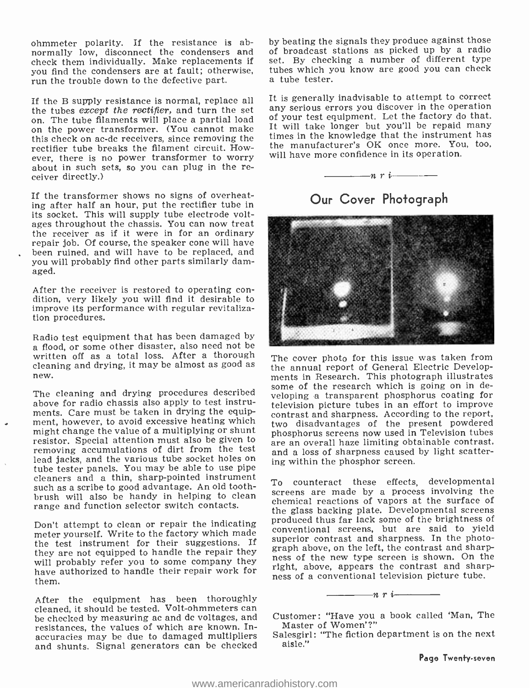ohmmeter polarity. If the resistance is abnormally low, disconnect the condensers and check them individually. Make replacements if you find the condensers are at fault; otherwise, tubes which y run the trouble down to the defective part.

If the B supply resistance is normal, replace all<br>the tubes *except the rectifier*, and turn the set on. The tube filaments will place a partial load on the power transformer. (You cannot make this check on ac -dc receivers, since removing the rectifier tube breaks the filament circuit. However, there is no power transformer to worry about in such sets, so you can plug in the receiver directly.)

If the transformer shows no signs of overheating after half an hour, put the rectifier tube in its socket. This will supply tube electrode voltages throughout the chassis. You can now treat the receiver as if it were in for an ordinary repair job. Of course, the speaker cone will have been ruined, and will have to be replaced, and you will probably find other parts similarly damaged.

After the receiver is restored to operating con- dition, very likely you will find it desirable to improve its performance with regular revitalization procedures.

Radio test equipment that has been damaged by a flood, or some other disaster, also need not be written off as a total loss. After a thorough cleaning and drying, it may be almost as good as new.

The cleaning and drying procedures described above for radio chassis also apply to test instrument, however, to avoid excessive heating which<br>might change the value of a multiplying or shunt<br>phosphorus screens now used in Television tubes might change the value of a multiplying or shunt resistor. Special attention must also be given to removing accumulations of dirt from the test lead jacks, and the various tube socket holes on tube tester panels. You may be able to use pipe cleaners and a thin, sharp-pointed instrument<br>To counteract these effects, developmental such as a scribe to good advantage. An old toothbrush will also be handy in helping to clean range and function selector switch contacts.

meter yourself. Write to the factory which made the test instrument for their suggestions. If superior contrast and sharpness, in the photo-<br>It is a contrast to handle the popein they graph above, on the left, the contrast and sharpthey are not equipped to handle the repair they will probably refer you to some company they have authorized to handle their repair work for the subset of a conventional television picture tube. them.

After the equipment has been thoroughly<br>cleaned, it should be tested. Volt-ohmmeters can be checked by measuring ac and dc voltages, and resistances, the values of which are known. Inaccuracies may be due to damaged multipliers and shunts. Signal generators can be checked

by beating the signals they produce against those of broadcast stations as picked up by a radio set. By checking a number of different type tubes which you know are good you can check

It is generally inadvisable to attempt to correct any serious errors you discover in the operation of your test equipment. Let the factory do that. It will take longer but you'll be repaid many times in the knowledge that the instrument has the manufacturer's OK once more. You, too, will have more confidence in its operation.







The cover photo for this issue was taken from the annual report of General Electric Developsome of the research which is going on in developing a transparent phosphorus coating for television picture tubes in an effort to improve contrast and sharpness. According to the report, two disadvantages of the present powdered are an overall haze limiting obtainable contrast, and a loss of sharpness caused by light scattering within the phosphor screen.

Don't attempt to clean or repair the indicating produced thus far lack some of the brightness of screens are made by a process involving the chemical reactions of vapors at the surface of the glass backing plate. Developmental screens conventional screens, but are said to yield superior contrast and sharpness. In the photoness of the new type screen is shown. On the right, above, appears the contrast and sharp-

> Customer: "Have you a book called 'Man, The Master of Women' ?"

 $-n$ r $i-$ 

Salesgirl: "The fiction department is on the next aisle."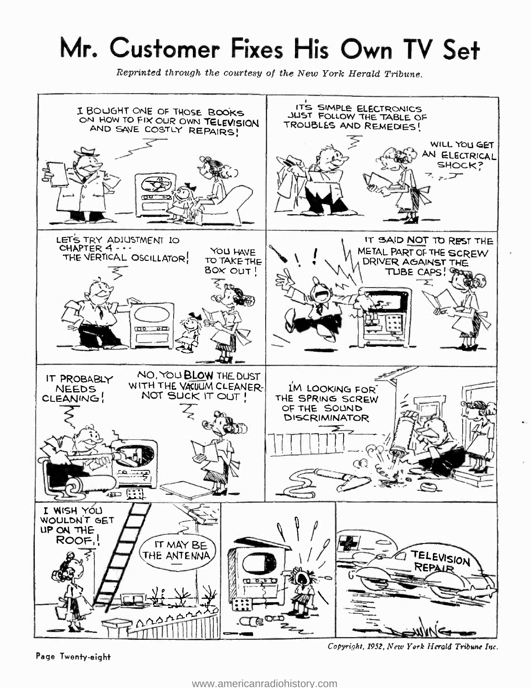# Mr. Customer Fixes His Own TV Set

Reprinted through the courtesy of the New York Herald Tribune.



Page Twenty -eight

Copyright, 1952, New York Herald Tribune Inc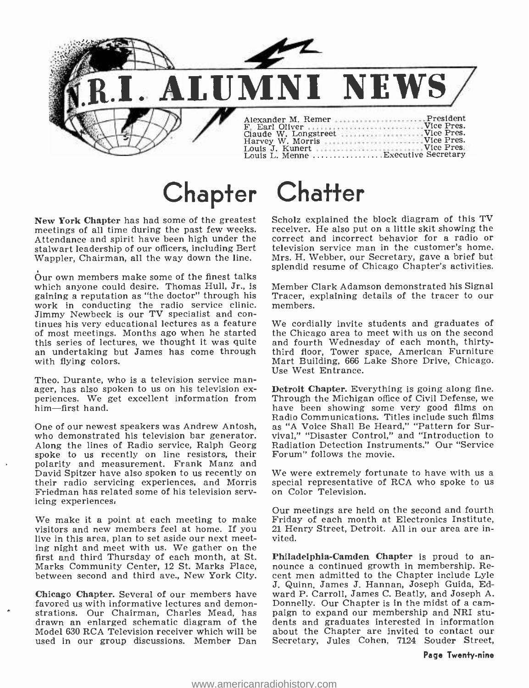

# Chapter Chatter

New York Chapter has had some of the greatest meetings of all time during the past few weeks. Feceiver. He also put on a little skit showing the attendance and spirit have been high under the correct and incorrect behavior for a radio or Attendance and spirit have been high under the stalwart leadership of our officers, including Bert Wappler, Chairman, all the way down the line.

Our own members make some of the finest talks which anyone could desire. Thomas Hull, Jr., is gaining a reputation as "the doctor" through his Tracer, exercise work in conducting the radio service clinic. members, work in conducting the radio service clinic. Jimmy Newbeck is our TV specialist and con- tinues his very educational lectures as a feature of most meetings. Months ago when he started the Chicago area to meet with us on the second this series of lectures, we thought it was quite and fourth Wednesday of each month, thirtyan undertaking but James has come through with flying colors.

Theo. Durante, who is a television service man-<br>
ager, has also spoken to us on his television ex-<br>
periences. We get excellent information from<br>
Through the Michigan office of Civil Defense, we<br>
him—first hand.<br>
have been him-first hand.

who demonstrated his television bar generator. Along the lines of Radio service, Ralph Georg spoke to us recently on line resistors, their polarity and measurement. Frank Manz and David Spitzer have also spoken to us recently on We were extremely fortunate to have with us a<br>their radio servicing experiences, and Morris special representative of RCA who spoke to us<br>Friedman has related some of his te Friedman has related some of his television serv- icing experiences,

We make it a point at each meeting to make visitors and new members feel at home. If you live in this area, plan to set aside our next meeting night and meet with us. We gather on the<br>first and third Thursday of each month, at St. Philadelphia-Camden Chapter is proud to anfirst and third Thursday of each month, at St. Marks Community Center, 12 St. Marks Place, between second and third ave., New York City.

Chicago Chapter. Several of our members have favored us with informative lectures and demon- Donnelly. Our Chapter is in the midst of a cam-<br>strations. Our Chairman, Charles Mead, has paign to expand our membership and NRI stu-, strations. Our Chairman, Charles Mead, has drawn an enlarged schematic diagram of the Model 630 RCA Television receiver which will be used in our group discussions. Member Dan

Scholz explained the block diagram of this TV receiver. He also put on a little skit showing the television service man in the customer's home. Mrs. H. Webber, our Secretary, gave a brief but splendid resume of Chicago Chapter's activities.

Member Clark Adamson demonstrated his Signal Tracer, explaining details of the tracer to our

We cordially invite students and graduates of the Chicago area to meet with us on the second third floor, Tower space, American Furniture Mart Building, 666 Lake Shore Drive, Chicago. Use West Entrance.

Radio Communications. Titles include such films<br>One of our newest speakers was Andrew Antosh, as "A Voice Shall Be Heard," "Pattern for Sur-Detroit Chapter. Everything is going along fine. In "A Voice Shall Be Heard," "Pattern for Survival," "Disaster Control," and "Introduction to Radiation Detection Instruments." Our "Service Forum" follows the movie.

We were extremely fortunate to have with us a

Our meetings are held on the second and fourth Friday of each month at Electronics Institute, 21 Henry Street, Detroit. All in our area are invited.

nounce a continued growth in membership. Recent men admitted to the Chapter include Lyle J. Quinn, James J. Hannan, Joseph Guida, Edward P. Carroll, James C. Beatly, and Joseph A. Donnelly. Our Chapter is in the midst of a camdents and graduates interested in information about the Chapter are invited to contact our Secretary, Jules Cohen, 7124 Souder Street,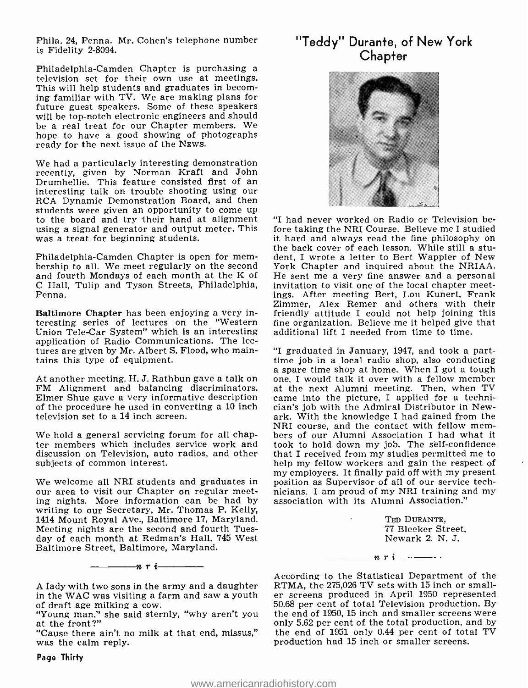Phila. 24, Penna. Mr. Cohen's telephone number is Fidelity 2-8094.

Philadelphia- Camden Chapter is purchasing a television set for their own use at meetings. This will help students and graduates in becoming familiar with TV. We are making plans for future guest speakers. Some of these speakers will be top-notch electronic engineers and should be a real treat for our Chapter members. We hope to have a good showing of photographs ready for the next issue of the NEws.

We had a particularly interesting demonstration recently, given by Norman Kraft and John Drumhellie. This feature consisted first of an interesting talk on trouble shooting using our RCA Dynamic Demonstration Board, and then students were given an opportunity to come up to the board and try their hand at alignment using a signal generator and output meter. This was a treat for beginning students.

Philadelphia- Camden Chapter is open for mem- bership to all. We meet regularly on the second and fourth Mondays of each month at the K of He sent me a very fine answer and a personal C Hall. Tulip and Tyson Streets, Philadelphia, invitation to visit one of the local chapter meet-<sup>C</sup>Hall, Tulip and Tyson Streets, Philadelphia, Penna.

Baltimore Chapter has been enjoying a very interesting series of lectures on the 'Western Union Tele -Car System" which Is an interesting application of Radio Communications. The lectures are given by Mr. Albert S. Flood, who maintains this type of equipment.

At another meeting, H. J. Rathbun gave a talk on one, I would talk it over with a fellow member FM Alignment and balancing discriminators. at the next Alumni meeting. Then, when TV Elmer Shue gave a very informative description of the procedure he used in converting a 10 inch television set to a 14 inch screen.

We hold a general servicing forum for all chapter members which includes service work and discussion on Television, auto radios, and other subjects of common interest.

We welcome all NRI students and graduates in our area to visit our Chapter on regular meeting nights. More information can be had by writing to our Secretary, Mr. Thomas P. Kelly, 1414 Mount Royal Ave., Baltimore 17, Maryland. Meeting nights are the second and fourth Tuesday of each month at Redman's Hall, 745 West Baltimore Street, Baltimore, Maryland.

 $-n$ ri

"Cause there ain't no milk at that end, missus," was the calm reply.

## "Teddy" Durante, of New York **Chapter**



"I had never worked on Radio or Television before taking the NRI Course. Believe me I studied<br>it hard and always read the fine philosophy on it hard and always read the fine philosophy on the back cover of each lesson. While still a student, I wrote a letter to Bert Wappler of New York Chapter and inquired about the NRIAA. He sent me a very fine answer and a personal ings. After meeting Bert, Lou Kunert, Frank Zimmer, Alex Remer and others with their friendly attitude I could not help joining this fine organization. Believe me it helped give that additional lift I needed from time to time.

"I graduated in January, 1947, and took a part - time job in a local radio shop, also conducting a spare time shop at home. When I got a tough one, I would talk it over with a fellow member came into the picture, I applied for a technician's job with the Admiral Distributor in Newark. With the knowledge I had gained from the<br>NRI course, and the contact with fellow members of our Alumni Association I had what it took to hold down my job. The self-confidence that I received from my studies permitted me to help my fellow workers and gain the respect of my employers. It finally paid off with my present position as Supervisor of all of our service technicians. I am proud of my NRI training and my association with its Alumni Association."

> TED DURANTE, <sup>77</sup>Bleeker Street, Newark 2, N. J.

 $n r i$ 

According to the Statistical Department of the RTMA, the 275,026 TV sets with 15 inch or smaller screens produced in April 1950 represented 50.68 per cent of total Television production. By the end of 1950, 15 inch and smaller screens were only 5.62 per cent of the total production, and by the end of 1951 only 0.44 per cent of total TV production had 15 inch or smaller screens.

A lady with two sons in the army and a daughter in the WAC was visiting a farm and saw a youth

<sup>&</sup>quot;Young man," she said sternly, "why aren't you at the front?"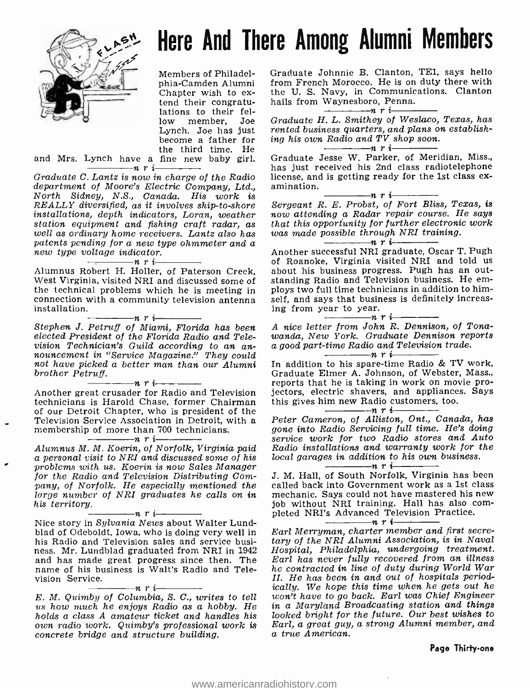

# Nere And There Among Alumni Members

Members of Philadelphia- Camden Alumni Chapter wish to ex-<br>tend their congratu-<br>lations to their fel-<br>low member. Joe member, Joe Lynch. Joe has just become a father for the third time. He

and Mrs. Lynch have a fine new baby girl.

Graduate C. Lantz is now in charge of the Radio license, and department of Moore's Electric Company, Ltd., amination. department of Moore's Electric Company, Ltd., amination.<br>North Sidney, N.S., Canada. His work is<br>REALLY diversified, as it involves ship-to-shore Sergeant R. E. Probst, of Fort Bliss, Texas, is REALLY diversified, as it involves ship-to-shore Sergeant R. E. Probst, of Fort Bliss, Texas, is<br>installations, depth indicators, Loran, weather now attending a Radar repair course. He says installations, depth indicators, Loran, weather station equipment and fishing craft radar, as that this opportunity for further electroni<br>well as ordinary home receivers. Lantz also has was made possible through NRI training. patents pending for a new type ohmmeter and a new type voltage indicator.<br>new type voltage indicator.<br> $\overline{\phantom{m}}$   $\overline{\phantom{m}}$   $\overline{\phantom{m}}$   $\overline{\phantom{m}}$   $\overline{\phantom{m}}$   $\overline{\phantom{m}}$   $\overline{\phantom{m}}$   $\overline{\phantom{m}}$ 

Alumnus Robert H. Holler, of Paterson Creek, West Virginia, visited NRI and discussed some of standing Radio and Television business. He em-<br>the technical problems which he is meeting in ploys two full time technicians in addition to himthe technical problems which he is meeting in connection with a community television antenna installation.  $n \rightharpoonup n$  in  $\frac{n}{\sqrt{1 - \frac{1}{n}} \rightharpoonup n}$  in Stephen J. Petruff of Miami, Florida has been A

elected President of the Florida Radio and Telenouncement in "Service Magazine." They could not have picked a better man than our Alumni brother Petruff.<br> $\frac{m}{n}$   $\frac{n}{r}$  i

Another great crusader for Radio and Television technicians is Harold Chase, former Chairman of our Detroit Chapter, who is president of the Television Service Association in Detroit, with a membership of more than 700 technicians.

Alumnus M. M. Koerin, of Norfolk, Virginia paid a personal visit to NRI and discussed some of his for the Radio and Television Distributing Company, of Norfolk. He especially mentioned the called back into Government work as a 1st class<br>large number of NRI graduates he calls on in mechanic. Says could not have mastered his new large number of NRI graduates he calls on in mechanic. Says could not have mastered his new iob without NRI training. Hall has also com-<br>his territory.

 $\frac{1}{\text{Nice story in } Sylvania News about Walter Lund-}$ blad of Odeboldt, Iowa, who is doing very well in Earl Merryman, charter member and first secre-<br>his Radio and Television sales and service busi- tary of the NRI Alumni Association, is in Naval his Radio and Television sales and service busi- ness. Mr. Lundblad graduated from NRI in <sup>1942</sup> and has made great progress since then. The name of his business is Walt's Radio and Television Service.<br>  $E. M. Quimby of Columbia, S. C., writes to tell$ 

us how much he enjoys Radio as a hobby. He holds a class A amateur ticket and handles his own radio work. Quimby's professional work is concrete bridge and structure building.

Graduate Johnnie B. Clanton, TE1, says hello from French Morocco. He is on duty there with the U. S. Navy, in Communications. Clanton hails from Waynesboro, Penna.<br> $\frac{m}{r}$   $\frac{n}{r}$ 

Graduate H. L. Smithey of Weslaco, Texas, has rented business quarters, and plans on establishing his own Radio and  $TV$  shop soon.<br> $\frac{1}{1-\frac{1}{1-\frac{1}{1-\frac{1}{1-\frac{1}{1-\frac{1}{1-\frac{1}{1-\frac{1}{1-\frac{1}{1-\frac{1}{1-\frac{1}{1-\frac{1}{1-\frac{1}{1-\frac{1}{1-\frac{1}{1-\frac{1}{1-\frac{1}{1-\frac{1}{1-\frac{1}{1-\frac{1}{1-\frac{1}{1-\frac{1}{1-\frac{1}{1-\frac{1}{1-\frac{1}{1-\frac{1}{1-\frac{1}{1-\frac{1}{1-\frac{1}{1-\frac{1}{1-\frac{$ 

Graduate Jesse W. Parker, of Meridian, Miss., has just received his 2nd class radiotelephone license, and is getting ready for the 1st class ex- amination. nri

that this opportunity for further electronic work<br>was made possible through NRI training.<br> $\begin{array}{c} \n-\text{max} \\
\hline\n\end{array}$ nri $\begin{array}{c}\n\hline\n\end{array}$ nri

Another successful NRI graduate, Oscar T. Pugh about his business progress. Pugh has an outstanding Radio and Television business. He emself, and says that business is definitely increasing from year to year.<br> $\frac{m}{2}$   $\frac{n}{r}$   $\frac{n}{r}$ 

A nice letter from John R. Dennison, of Tonawanda, New York. Graduate Dennison reports a good part-time Radio and Television trade.

In addition to his spare-time Radio & TV work, Graduate Elmer A. Johnson, of Webster, Mass., reports that he is taking in work on movie projectors, electric shavers, and appliances. Says this gives him new Radio customers, too.

### Peter Cameron, of Alliston, Ont., Canada, has gone into Radio Servicing full time. He's doing service work for two Radio stores and Auto Radio installations and warranty work for the local garages in addition to his own business.<br> $\frac{1}{\sqrt{1-\frac{1}{n}}}\prod_{i=1}^{n}$

J. M. Hall, of South Norfolk, Virginia has been called back into Government work as a 1st class pleted NRI's Advanced Television Practice.

Earl Merryman, charter member and first secre-Hospital, Philadelphia, undergoing treatment. Earl has never fully recovered from an illness he contracted in line of duty during World War II. He has been in and out of hospitals periodically. We hope this time when he gets out he won't have to go back. Earl was Chief Engineer in a Maryland Broadcasting station and things looked bright for the future. Our best wishes to Earl, a great guy, a strong Alumni member, and a true American.

Page Thirty-one